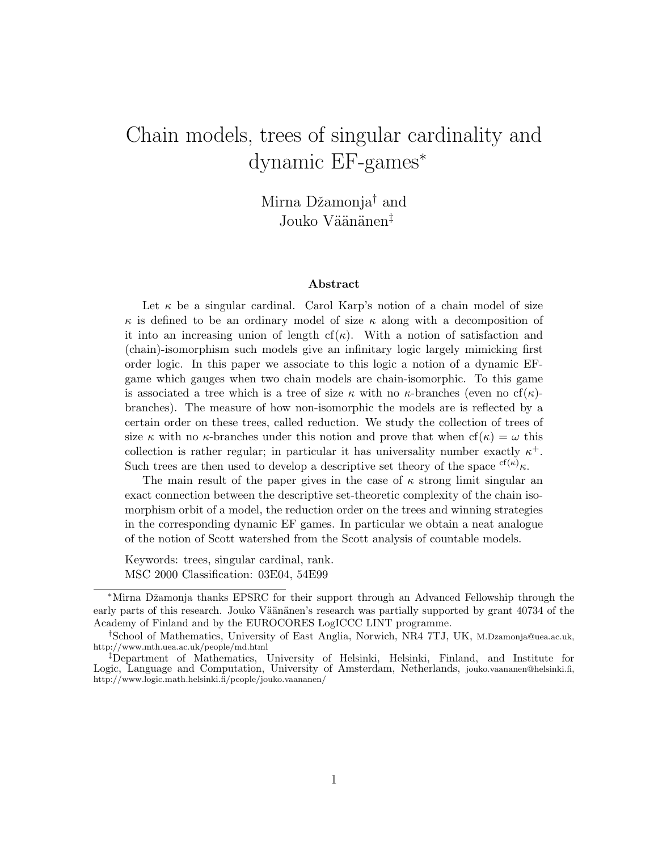# Chain models, trees of singular cardinality and dynamic EF-games<sup>∗</sup>

Mirna Džamonja<sup>†</sup> and Jouko Väänänen<sup>‡</sup>

#### Abstract

Let  $\kappa$  be a singular cardinal. Carol Karp's notion of a chain model of size  $\kappa$  is defined to be an ordinary model of size  $\kappa$  along with a decomposition of it into an increasing union of length cf( $\kappa$ ). With a notion of satisfaction and (chain)-isomorphism such models give an infinitary logic largely mimicking first order logic. In this paper we associate to this logic a notion of a dynamic EFgame which gauges when two chain models are chain-isomorphic. To this game is associated a tree which is a tree of size  $\kappa$  with no  $\kappa$ -branches (even no cf( $\kappa$ )branches). The measure of how non-isomorphic the models are is reflected by a certain order on these trees, called reduction. We study the collection of trees of size  $\kappa$  with no  $\kappa$ -branches under this notion and prove that when  $cf(\kappa) = \omega$  this collection is rather regular; in particular it has universality number exactly  $\kappa^+$ . Such trees are then used to develop a descriptive set theory of the space  ${}^{cf(\kappa)}\kappa$ .

The main result of the paper gives in the case of  $\kappa$  strong limit singular an exact connection between the descriptive set-theoretic complexity of the chain isomorphism orbit of a model, the reduction order on the trees and winning strategies in the corresponding dynamic EF games. In particular we obtain a neat analogue of the notion of Scott watershed from the Scott analysis of countable models.

Keywords: trees, singular cardinal, rank. MSC 2000 Classification: 03E04, 54E99

<sup>∗</sup>Mirna Dˇzamonja thanks EPSRC for their support through an Advanced Fellowship through the early parts of this research. Jouko Väänänen's research was partially supported by grant 40734 of the Academy of Finland and by the EUROCORES LogICCC LINT programme.

<sup>†</sup>School of Mathematics, University of East Anglia, Norwich, NR4 7TJ, UK, M.Dzamonja@uea.ac.uk, http://www.mth.uea.ac.uk/people/md.html

<sup>‡</sup>Department of Mathematics, University of Helsinki, Helsinki, Finland, and Institute for Logic, Language and Computation, University of Amsterdam, Netherlands, jouko.vaananen@helsinki.fi, http://www.logic.math.helsinki.fi/people/jouko.vaananen/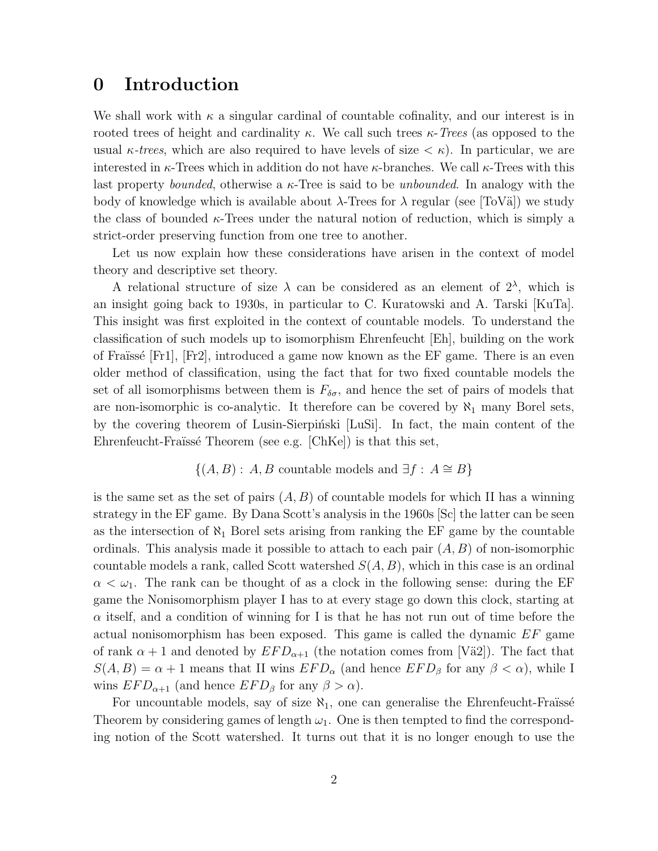### 0 Introduction

We shall work with  $\kappa$  a singular cardinal of countable cofinality, and our interest is in rooted trees of height and cardinality  $\kappa$ . We call such trees  $\kappa$ -Trees (as opposed to the usual  $\kappa$ -trees, which are also required to have levels of size  $\langle \kappa \rangle$ . In particular, we are interested in  $\kappa$ -Trees which in addition do not have  $\kappa$ -branches. We call  $\kappa$ -Trees with this last property *bounded*, otherwise a  $\kappa$ -Tree is said to be *unbounded*. In analogy with the body of knowledge which is available about  $\lambda$ -Trees for  $\lambda$  regular (see [ToV $\ddot{\text{a}}$ ]) we study the class of bounded  $\kappa$ -Trees under the natural notion of reduction, which is simply a strict-order preserving function from one tree to another.

Let us now explain how these considerations have arisen in the context of model theory and descriptive set theory.

A relational structure of size  $\lambda$  can be considered as an element of  $2^{\lambda}$ , which is an insight going back to 1930s, in particular to C. Kuratowski and A. Tarski [KuTa]. This insight was first exploited in the context of countable models. To understand the classification of such models up to isomorphism Ehrenfeucht [Eh], building on the work of Fraüssé  $[Fr1]$ ,  $[Fr2]$ , introduced a game now known as the EF game. There is an even older method of classification, using the fact that for two fixed countable models the set of all isomorphisms between them is  $F_{\delta\sigma}$ , and hence the set of pairs of models that are non-isomorphic is co-analytic. It therefore can be covered by  $\aleph_1$  many Borel sets, by the covering theorem of Lusin-Sierpinski [LuSi]. In fact, the main content of the Ehrenfeucht-Fraïssé Theorem (see e.g.  $[ChKe]$ ) is that this set,

$$
\{(A, B) : A, B \text{ countable models and } \exists f : A \cong B\}
$$

is the same set as the set of pairs  $(A, B)$  of countable models for which II has a winning strategy in the EF game. By Dana Scott's analysis in the 1960s [Sc] the latter can be seen as the intersection of  $\aleph_1$  Borel sets arising from ranking the EF game by the countable ordinals. This analysis made it possible to attach to each pair  $(A, B)$  of non-isomorphic countable models a rank, called Scott watershed  $S(A, B)$ , which in this case is an ordinal  $\alpha < \omega_1$ . The rank can be thought of as a clock in the following sense: during the EF game the Nonisomorphism player I has to at every stage go down this clock, starting at  $\alpha$  itself, and a condition of winning for I is that he has not run out of time before the actual nonisomorphism has been exposed. This game is called the dynamic EF game of rank  $\alpha + 1$  and denoted by  $EFD_{\alpha+1}$  (the notation comes from [Vä2]). The fact that  $S(A, B) = \alpha + 1$  means that II wins  $EFD_{\alpha}$  (and hence  $EFD_{\beta}$  for any  $\beta < \alpha$ ), while I wins  $EFD_{\alpha+1}$  (and hence  $EFD_{\beta}$  for any  $\beta > \alpha$ ).

For uncountable models, say of size  $\aleph_1$ , one can generalise the Ehrenfeucht-Fraüssé Theorem by considering games of length  $\omega_1$ . One is then tempted to find the corresponding notion of the Scott watershed. It turns out that it is no longer enough to use the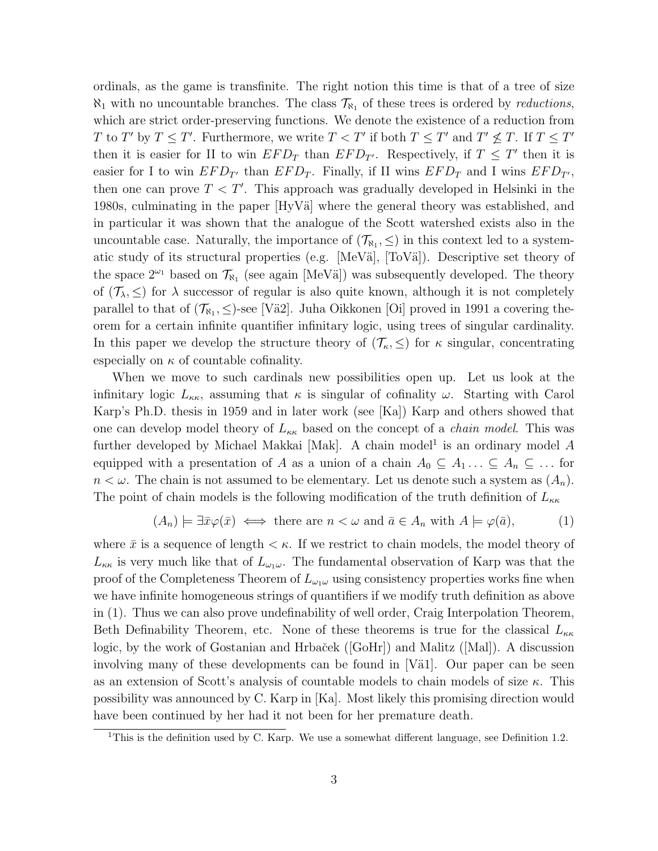ordinals, as the game is transfinite. The right notion this time is that of a tree of size  $\aleph_1$  with no uncountable branches. The class  $\mathcal{T}_{\aleph_1}$  of these trees is ordered by *reductions*, which are strict order-preserving functions. We denote the existence of a reduction from T to T' by  $T \leq T'$ . Furthermore, we write  $T < T'$  if both  $T \leq T'$  and  $T' \nleq T$ . If  $T \leq T'$ then it is easier for II to win  $EFD_T$  than  $EFD_{T'}$ . Respectively, if  $T \leq T'$  then it is easier for I to win  $EFD_{T'}$  than  $EFD_T$ . Finally, if II wins  $EFD_T$  and I wins  $EFD_{T'}$ , then one can prove  $T < T'$ . This approach was gradually developed in Helsinki in the 1980s, culminating in the paper  $[HyV\ddot{a}]$  where the general theory was established, and in particular it was shown that the analogue of the Scott watershed exists also in the uncountable case. Naturally, the importance of  $(\mathcal{T}_{\aleph_1}, \leq)$  in this context led to a systematic study of its structural properties (e.g. [MeVä], [ToVä]). Descriptive set theory of the space  $2^{\omega_1}$  based on  $\mathcal{T}_{\aleph_1}$  (see again [MeVä]) was subsequently developed. The theory of  $(\mathcal{T}_{\lambda}, \leq)$  for  $\lambda$  successor of regular is also quite known, although it is not completely parallel to that of  $(\mathcal{T}_{\aleph_1}, \leq)$ -see [Vä2]. Juha Oikkonen [Oi] proved in 1991 a covering theorem for a certain infinite quantifier infinitary logic, using trees of singular cardinality. In this paper we develop the structure theory of  $(\mathcal{T}_{\kappa}, \leq)$  for  $\kappa$  singular, concentrating especially on  $\kappa$  of countable cofinality.

When we move to such cardinals new possibilities open up. Let us look at the infinitary logic  $L_{\kappa\kappa}$ , assuming that  $\kappa$  is singular of cofinality  $\omega$ . Starting with Carol Karp's Ph.D. thesis in 1959 and in later work (see [Ka]) Karp and others showed that one can develop model theory of  $L_{\kappa\kappa}$  based on the concept of a *chain model*. This was further developed by Michael Makkai [Mak]. A chain model<sup>1</sup> is an ordinary model  $A$ equipped with a presentation of A as a union of a chain  $A_0 \subseteq A_1 \dots \subseteq A_n \subseteq \dots$  for  $n < \omega$ . The chain is not assumed to be elementary. Let us denote such a system as  $(A_n)$ . The point of chain models is the following modification of the truth definition of  $L_{\kappa\kappa}$ 

$$
(A_n) \models \exists \bar{x} \varphi(\bar{x}) \iff \text{there are } n < \omega \text{ and } \bar{a} \in A_n \text{ with } A \models \varphi(\bar{a}), \tag{1}
$$

where  $\bar{x}$  is a sequence of length  $\lt \kappa$ . If we restrict to chain models, the model theory of  $L_{\kappa\kappa}$  is very much like that of  $L_{\omega_1\omega}$ . The fundamental observation of Karp was that the proof of the Completeness Theorem of  $L_{\omega_1\omega}$  using consistency properties works fine when we have infinite homogeneous strings of quantifiers if we modify truth definition as above in (1). Thus we can also prove undefinability of well order, Craig Interpolation Theorem, Beth Definability Theorem, etc. None of these theorems is true for the classical  $L_{\kappa\kappa}$ logic, by the work of Gostanian and Hrbaček ([GoHr]) and Malitz ([Mal]). A discussion involving many of these developments can be found in  $|V\ddot{a}1|$ . Our paper can be seen as an extension of Scott's analysis of countable models to chain models of size  $\kappa$ . This possibility was announced by C. Karp in [Ka]. Most likely this promising direction would have been continued by her had it not been for her premature death.

<sup>&</sup>lt;sup>1</sup>This is the definition used by C. Karp. We use a somewhat different language, see Definition 1.2.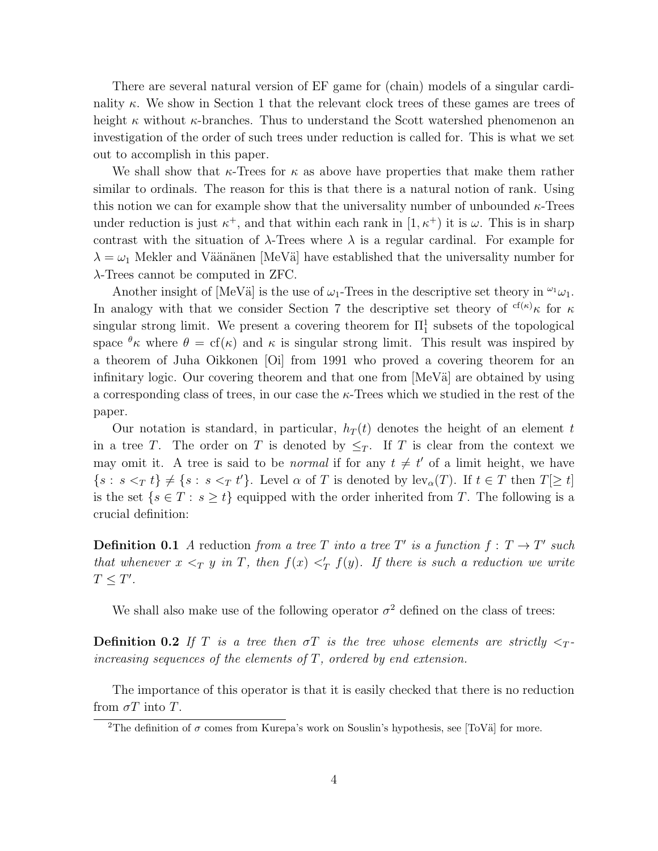There are several natural version of EF game for (chain) models of a singular cardinality  $\kappa$ . We show in Section 1 that the relevant clock trees of these games are trees of height  $\kappa$  without  $\kappa$ -branches. Thus to understand the Scott watershed phenomenon an investigation of the order of such trees under reduction is called for. This is what we set out to accomplish in this paper.

We shall show that  $\kappa$ -Trees for  $\kappa$  as above have properties that make them rather similar to ordinals. The reason for this is that there is a natural notion of rank. Using this notion we can for example show that the universality number of unbounded  $\kappa$ -Trees under reduction is just  $\kappa^+$ , and that within each rank in  $[1, \kappa^+)$  it is  $\omega$ . This is in sharp contrast with the situation of  $\lambda$ -Trees where  $\lambda$  is a regular cardinal. For example for  $\lambda = \omega_1$  Mekler and Väänänen [MeVä] have established that the universality number for λ-Trees cannot be computed in ZFC.

Another insight of [MeVä] is the use of  $\omega_1$ -Trees in the descriptive set theory in  $\omega_1$ . In analogy with that we consider Section 7 the descriptive set theory of  ${}^{cf(\kappa)}\kappa$  for  $\kappa$ singular strong limit. We present a covering theorem for  $\Pi_1^1$  subsets of the topological space  $\theta_{\kappa}$  where  $\theta = cf(\kappa)$  and  $\kappa$  is singular strong limit. This result was inspired by a theorem of Juha Oikkonen [Oi] from 1991 who proved a covering theorem for an infinitary logic. Our covering theorem and that one from  $[MeVä]$  are obtained by using a corresponding class of trees, in our case the  $\kappa$ -Trees which we studied in the rest of the paper.

Our notation is standard, in particular,  $h_T(t)$  denotes the height of an element t in a tree T. The order on T is denoted by  $\leq_T$ . If T is clear from the context we may omit it. A tree is said to be *normal* if for any  $t \neq t'$  of a limit height, we have  $\{s : s \leq T t\} \neq \{s : s \leq T t'\}.$  Level  $\alpha$  of T is denoted by  $\text{lev}_{\alpha}(T)$ . If  $t \in T$  then  $T[\geq t]$ is the set  $\{s \in T : s \ge t\}$  equipped with the order inherited from T. The following is a crucial definition:

**Definition 0.1** A reduction from a tree T into a tree T' is a function  $f: T \to T'$  such that whenever  $x <_T y$  in T, then  $f(x) <'_T f(y)$ . If there is such a reduction we write  $T \leq T'$ .

We shall also make use of the following operator  $\sigma^2$  defined on the class of trees:

**Definition 0.2** If T is a tree then  $\sigma T$  is the tree whose elements are strictly  $\langle \tau \rangle$ increasing sequences of the elements of  $T$ , ordered by end extension.

The importance of this operator is that it is easily checked that there is no reduction from  $\sigma T$  into T.

<sup>&</sup>lt;sup>2</sup>The definition of  $\sigma$  comes from Kurepa's work on Souslin's hypothesis, see [ToVä] for more.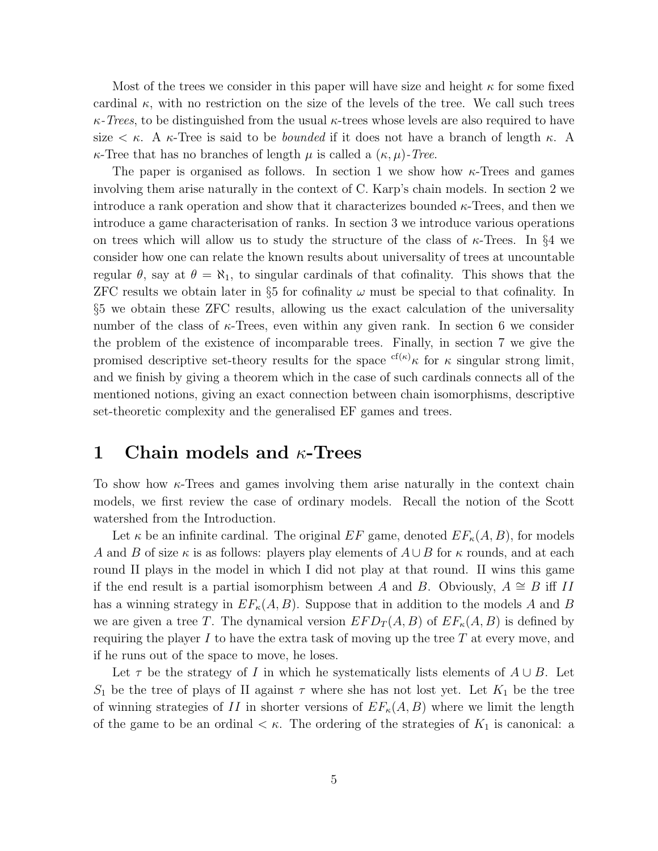Most of the trees we consider in this paper will have size and height  $\kappa$  for some fixed cardinal  $\kappa$ , with no restriction on the size of the levels of the tree. We call such trees  $\kappa$ -Trees, to be distinguished from the usual  $\kappa$ -trees whose levels are also required to have size  $\lt$  κ. A κ-Tree is said to be *bounded* if it does not have a branch of length κ. A  $\kappa$ -Tree that has no branches of length  $\mu$  is called a  $(\kappa, \mu)$ -Tree.

The paper is organised as follows. In section 1 we show how  $\kappa$ -Trees and games involving them arise naturally in the context of C. Karp's chain models. In section 2 we introduce a rank operation and show that it characterizes bounded  $\kappa$ -Trees, and then we introduce a game characterisation of ranks. In section 3 we introduce various operations on trees which will allow us to study the structure of the class of  $\kappa$ -Trees. In §4 we consider how one can relate the known results about universality of trees at uncountable regular  $\theta$ , say at  $\theta = \aleph_1$ , to singular cardinals of that cofinality. This shows that the ZFC results we obtain later in §5 for cofinality  $\omega$  must be special to that cofinality. In §5 we obtain these ZFC results, allowing us the exact calculation of the universality number of the class of  $\kappa$ -Trees, even within any given rank. In section 6 we consider the problem of the existence of incomparable trees. Finally, in section 7 we give the promised descriptive set-theory results for the space  ${}^{cf(\kappa)}\kappa$  for  $\kappa$  singular strong limit, and we finish by giving a theorem which in the case of such cardinals connects all of the mentioned notions, giving an exact connection between chain isomorphisms, descriptive set-theoretic complexity and the generalised EF games and trees.

### 1 Chain models and  $\kappa$ -Trees

To show how  $\kappa$ -Trees and games involving them arise naturally in the context chain models, we first review the case of ordinary models. Recall the notion of the Scott watershed from the Introduction.

Let  $\kappa$  be an infinite cardinal. The original EF game, denoted  $EF_{\kappa}(A, B)$ , for models A and B of size  $\kappa$  is as follows: players play elements of  $A \cup B$  for  $\kappa$  rounds, and at each round II plays in the model in which I did not play at that round. II wins this game if the end result is a partial isomorphism between A and B. Obviously,  $A \cong B$  iff II has a winning strategy in  $EF_{\kappa}(A, B)$ . Suppose that in addition to the models A and B we are given a tree T. The dynamical version  $EFD_T(A, B)$  of  $E F<sub>\kappa</sub>(A, B)$  is defined by requiring the player I to have the extra task of moving up the tree  $T$  at every move, and if he runs out of the space to move, he loses.

Let  $\tau$  be the strategy of I in which he systematically lists elements of  $A \cup B$ . Let  $S_1$  be the tree of plays of II against  $\tau$  where she has not lost yet. Let  $K_1$  be the tree of winning strategies of II in shorter versions of  $EF_{\kappa}(A, B)$  where we limit the length of the game to be an ordinal  $\lt \kappa$ . The ordering of the strategies of  $K_1$  is canonical: a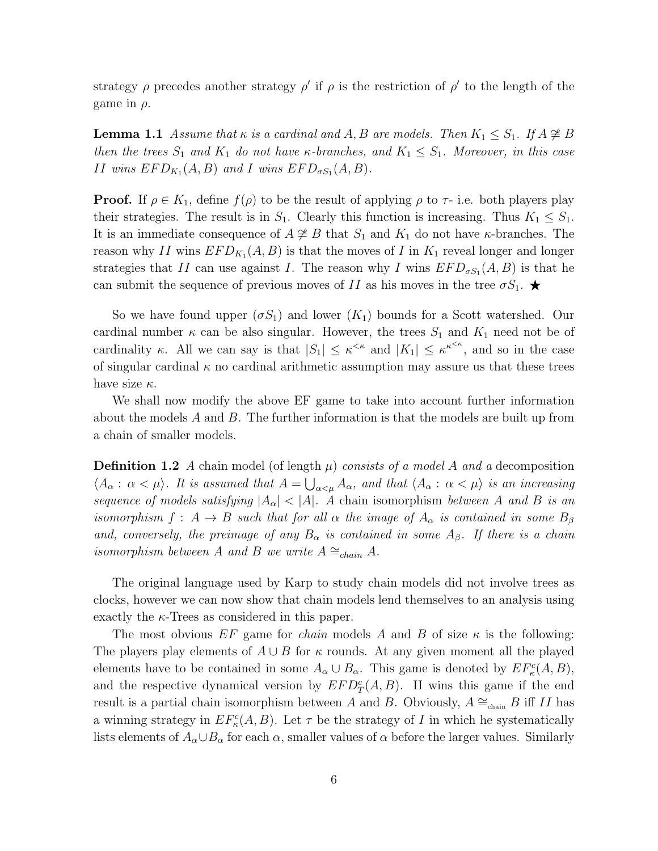strategy  $\rho$  precedes another strategy  $\rho'$  if  $\rho$  is the restriction of  $\rho'$  to the length of the game in  $\rho$ .

**Lemma 1.1** Assume that  $\kappa$  is a cardinal and A, B are models. Then  $K_1 \leq S_1$ . If  $A \not\cong B$ then the trees  $S_1$  and  $K_1$  do not have  $\kappa$ -branches, and  $K_1 \leq S_1$ . Moreover, in this case II wins  $EFD_{K_1}(A, B)$  and I wins  $EFD_{\sigma S_1}(A, B)$ .

**Proof.** If  $\rho \in K_1$ , define  $f(\rho)$  to be the result of applying  $\rho$  to  $\tau$ - i.e. both players play their strategies. The result is in  $S_1$ . Clearly this function is increasing. Thus  $K_1 \leq S_1$ . It is an immediate consequence of  $A \not\cong B$  that  $S_1$  and  $K_1$  do not have  $\kappa$ -branches. The reason why II wins  $EFD_{K_1}(A, B)$  is that the moves of I in  $K_1$  reveal longer and longer strategies that II can use against I. The reason why I wins  $EFD_{\sigma S_1}(A, B)$  is that he can submit the sequence of previous moves of II as his moves in the tree  $\sigma S_1$ .

So we have found upper  $(\sigma S_1)$  and lower  $(K_1)$  bounds for a Scott watershed. Our cardinal number  $\kappa$  can be also singular. However, the trees  $S_1$  and  $K_1$  need not be of cardinality  $\kappa$ . All we can say is that  $|S_1| \leq \kappa^{\kappa}$  and  $|K_1| \leq \kappa^{\kappa^{k}}$ , and so in the case of singular cardinal  $\kappa$  no cardinal arithmetic assumption may assure us that these trees have size  $\kappa$ .

We shall now modify the above EF game to take into account further information about the models  $A$  and  $B$ . The further information is that the models are built up from a chain of smaller models.

**Definition 1.2** A chain model (of length  $\mu$ ) consists of a model A and a decomposition  $\langle A_\alpha: \alpha<\mu\rangle$ . It is assumed that  $A=\bigcup_{\alpha<\mu}A_\alpha$ , and that  $\langle A_\alpha: \alpha<\mu\rangle$  is an increasing sequence of models satisfying  $|A_{\alpha}| < |A|$ . A chain isomorphism between A and B is an isomorphism  $f: A \to B$  such that for all  $\alpha$  the image of  $A_{\alpha}$  is contained in some  $B_{\beta}$ and, conversely, the preimage of any  $B_{\alpha}$  is contained in some  $A_{\beta}$ . If there is a chain isomorphism between A and B we write  $A \cong_{chain} A$ .

The original language used by Karp to study chain models did not involve trees as clocks, however we can now show that chain models lend themselves to an analysis using exactly the  $\kappa$ -Trees as considered in this paper.

The most obvious EF game for *chain* models A and B of size  $\kappa$  is the following: The players play elements of  $A \cup B$  for  $\kappa$  rounds. At any given moment all the played elements have to be contained in some  $A_{\alpha} \cup B_{\alpha}$ . This game is denoted by  $EF_{\kappa}^{c}(A, B)$ , and the respective dynamical version by  $EFD_T^c(A, B)$ . II wins this game if the end result is a partial chain isomorphism between A and B. Obviously,  $A \cong_{\text{chain}} B$  iff II has a winning strategy in  $EF_{\kappa}^c(A, B)$ . Let  $\tau$  be the strategy of I in which he systematically lists elements of  $A_{\alpha} \cup B_{\alpha}$  for each  $\alpha$ , smaller values of  $\alpha$  before the larger values. Similarly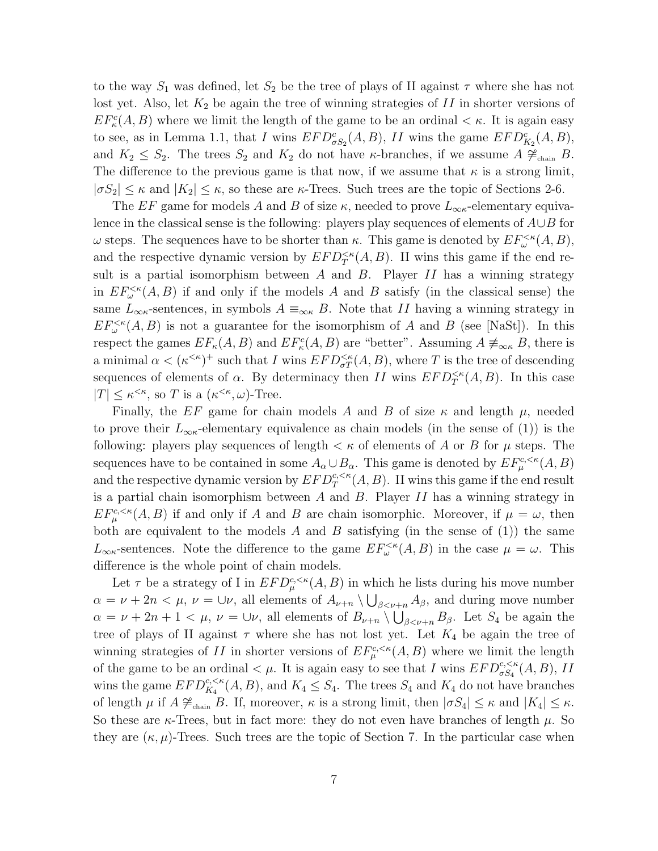to the way  $S_1$  was defined, let  $S_2$  be the tree of plays of II against  $\tau$  where she has not lost yet. Also, let  $K_2$  be again the tree of winning strategies of  $II$  in shorter versions of  $EF_{\kappa}^{c}(A, B)$  where we limit the length of the game to be an ordinal  $\lt \kappa$ . It is again easy to see, as in Lemma 1.1, that I wins  $EFD_{\sigma S_2}^c(A, B)$ , II wins the game  $EFD_{K_2}^c(A, B)$ , and  $K_2 \leq S_2$ . The trees  $S_2$  and  $K_2$  do not have κ-branches, if we assume  $A \ncong_{\text{chain}} B$ . The difference to the previous game is that now, if we assume that  $\kappa$  is a strong limit,  $|\sigma S_2| \leq \kappa$  and  $|K_2| \leq \kappa$ , so these are  $\kappa$ -Trees. Such trees are the topic of Sections 2-6.

The EF game for models A and B of size  $\kappa$ , needed to prove  $L_{\infty\kappa}$ -elementary equivalence in the classical sense is the following: players play sequences of elements of  $A \cup B$  for  $ω$  steps. The sequences have to be shorter than  $κ$ . This game is denoted by  $EF_\omega^{<κ}(A, B)$ , and the respective dynamic version by  $EFD_T^{<\kappa}(A, B)$ . II wins this game if the end result is a partial isomorphism between A and B. Player  $II$  has a winning strategy in  $EF^{<\kappa}_{\omega}(A, B)$  if and only if the models A and B satisfy (in the classical sense) the same  $L_{\infty\kappa}$ -sentences, in symbols  $A \equiv_{\infty\kappa} B$ . Note that II having a winning strategy in  $EF_{\omega}^{\leq \kappa}(A, B)$  is not a guarantee for the isomorphism of A and B (see [NaSt]). In this respect the games  $EF_{\kappa}(A, B)$  and  $EF_{\kappa}^c(A, B)$  are "better". Assuming  $A \neq_{\infty \kappa} B$ , there is a minimal  $\alpha < (\kappa^{\leq \kappa})^+$  such that I wins  $EFD_{\sigma T}^{\leq \kappa}(A, B)$ , where T is the tree of descending sequences of elements of  $\alpha$ . By determinacy then II wins  $EFD_T^{\leq \kappa}(A, B)$ . In this case  $|T| \leq \kappa^{\leq \kappa}$ , so T is a  $(\kappa^{\leq \kappa}, \omega)$ -Tree.

Finally, the EF game for chain models A and B of size  $\kappa$  and length  $\mu$ , needed to prove their  $L_{\infty}$ -elementary equivalence as chain models (in the sense of (1)) is the following: players play sequences of length  $\lt \kappa$  of elements of A or B for  $\mu$  steps. The sequences have to be contained in some  $A_{\alpha} \cup B_{\alpha}$ . This game is denoted by  $EF^{c,<\kappa}_{\mu}(A, B)$ and the respective dynamic version by  $EFD_T^{c,<\kappa}(A, B)$ . II wins this game if the end result is a partial chain isomorphism between  $A$  and  $B$ . Player  $II$  has a winning strategy in  $EF_{\mu}^{c,<\kappa}(A,B)$  if and only if A and B are chain isomorphic. Moreover, if  $\mu = \omega$ , then both are equivalent to the models A and B satisfying (in the sense of  $(1)$ ) the same  $L_{\infty\kappa}$ -sentences. Note the difference to the game  $EF_{\omega}^{\leq\kappa}(A, B)$  in the case  $\mu = \omega$ . This difference is the whole point of chain models.

Let  $\tau$  be a strategy of I in  $EFD_{\mu}^{c,<\kappa}(A, B)$  in which he lists during his move number  $\alpha = \nu + 2n < \mu$ ,  $\nu = \bigcup \nu$ , all elements of  $A_{\nu+n} \setminus \bigcup_{\beta < \nu+n} A_{\beta}$ , and during move number  $\alpha = \nu + 2n + 1 < \mu$ ,  $\nu = \bigcup \nu$ , all elements of  $B_{\nu+n} \setminus \bigcup_{\beta < \nu+n} B_{\beta}$ . Let  $S_4$  be again the tree of plays of II against  $\tau$  where she has not lost yet. Let  $K_4$  be again the tree of winning strategies of II in shorter versions of  $E F^{c,<\kappa}_{\mu}(A, B)$  where we limit the length of the game to be an ordinal  $\lt \mu$ . It is again easy to see that I wins  $EFD_{\sigma S_4}^{c,<\kappa}(A, B)$ , II wins the game  $EFD_{K_4}^{c,<\kappa}(A, B)$ , and  $K_4 \leq S_4$ . The trees  $S_4$  and  $K_4$  do not have branches of length  $\mu$  if  $A \not\cong_{\text{chain}} B$ . If, moreover,  $\kappa$  is a strong limit, then  $|\sigma S_4| \leq \kappa$  and  $|K_4| \leq \kappa$ . So these are  $\kappa$ -Trees, but in fact more: they do not even have branches of length  $\mu$ . So they are  $(\kappa, \mu)$ -Trees. Such trees are the topic of Section 7. In the particular case when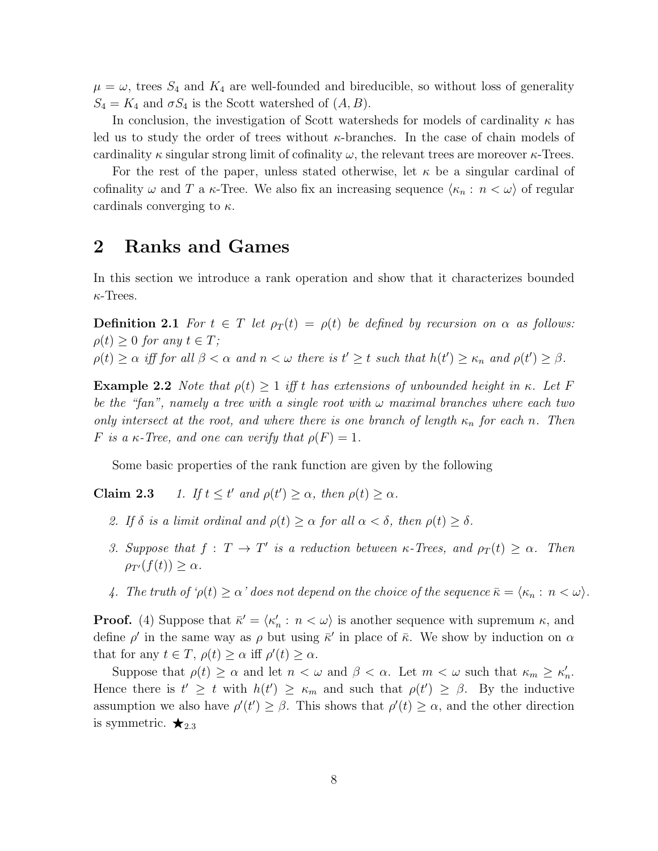$\mu = \omega$ , trees  $S_4$  and  $K_4$  are well-founded and bireducible, so without loss of generality  $S_4 = K_4$  and  $\sigma S_4$  is the Scott watershed of  $(A, B)$ .

In conclusion, the investigation of Scott watersheds for models of cardinality  $\kappa$  has led us to study the order of trees without  $\kappa$ -branches. In the case of chain models of cardinality  $\kappa$  singular strong limit of cofinality  $\omega$ , the relevant trees are moreover  $\kappa$ -Trees.

For the rest of the paper, unless stated otherwise, let  $\kappa$  be a singular cardinal of cofinality  $\omega$  and T a  $\kappa$ -Tree. We also fix an increasing sequence  $\langle \kappa_n : n < \omega \rangle$  of regular cardinals converging to  $\kappa$ .

### 2 Ranks and Games

In this section we introduce a rank operation and show that it characterizes bounded  $\kappa$ -Trees.

**Definition 2.1** For  $t \in T$  let  $\rho_T(t) = \rho(t)$  be defined by recursion on  $\alpha$  as follows:  $\rho(t) \geq 0$  for any  $t \in T$ ;

 $\rho(t) \geq \alpha$  iff for all  $\beta < \alpha$  and  $n < \omega$  there is  $t' \geq t$  such that  $h(t') \geq \kappa_n$  and  $\rho(t') \geq \beta$ .

**Example 2.2** Note that  $\rho(t) \geq 1$  iff t has extensions of unbounded height in κ. Let F be the "fan", namely a tree with a single root with  $\omega$  maximal branches where each two only intersect at the root, and where there is one branch of length  $\kappa_n$  for each n. Then F is a  $\kappa$ -Tree, and one can verify that  $\rho(F) = 1$ .

Some basic properties of the rank function are given by the following

**Claim 2.3** 1. If  $t \leq t'$  and  $\rho(t') \geq \alpha$ , then  $\rho(t) \geq \alpha$ .

- 2. If  $\delta$  is a limit ordinal and  $\rho(t) \geq \alpha$  for all  $\alpha < \delta$ , then  $\rho(t) \geq \delta$ .
- 3. Suppose that  $f: T \to T'$  is a reduction between  $\kappa$ -Trees, and  $\rho_T(t) \geq \alpha$ . Then  $\rho_{T'}(f(t)) > \alpha$ .
- 4. The truth of  $\varphi(t) \geq \alpha'$  does not depend on the choice of the sequence  $\bar{\kappa} = \langle \kappa_n : n < \omega \rangle$ .

**Proof.** (4) Suppose that  $\bar{\kappa}' = \langle \kappa'_n : n < \omega \rangle$  is another sequence with supremum  $\kappa$ , and define  $\rho'$  in the same way as  $\rho$  but using  $\bar{\kappa}'$  in place of  $\bar{\kappa}$ . We show by induction on  $\alpha$ that for any  $t \in T$ ,  $\rho(t) \geq \alpha$  iff  $\rho'(t) \geq \alpha$ .

Suppose that  $\rho(t) \geq \alpha$  and let  $n < \omega$  and  $\beta < \alpha$ . Let  $m < \omega$  such that  $\kappa_m \geq \kappa'_n$ . Hence there is  $t' \geq t$  with  $h(t') \geq \kappa_m$  and such that  $\rho(t') \geq \beta$ . By the inductive assumption we also have  $\rho'(t') \geq \beta$ . This shows that  $\rho'(t) \geq \alpha$ , and the other direction is symmetric.  $\bigstar_{2.3}$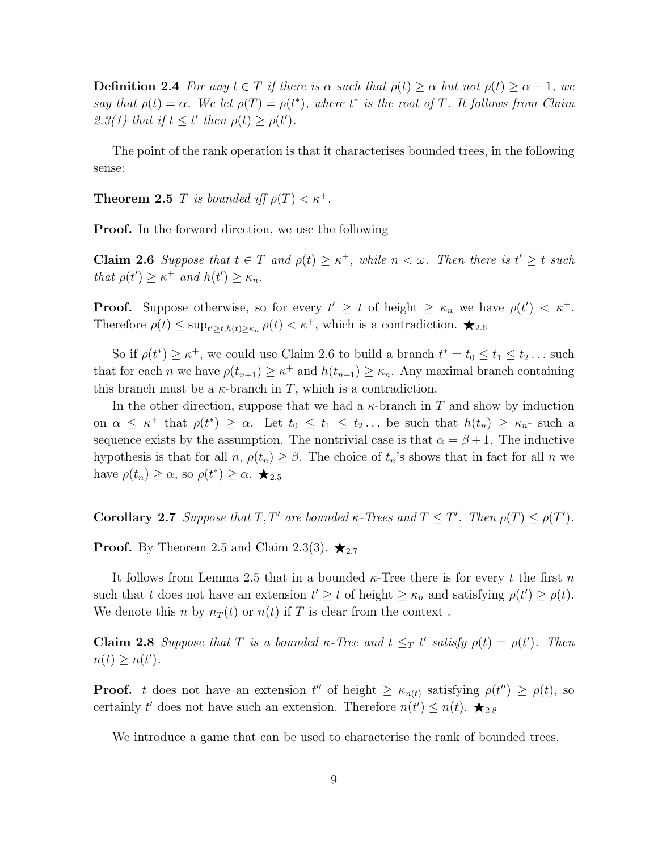**Definition 2.4** For any  $t \in T$  if there is  $\alpha$  such that  $\rho(t) \geq \alpha$  but not  $\rho(t) \geq \alpha + 1$ , we say that  $\rho(t) = \alpha$ . We let  $\rho(T) = \rho(t^*)$ , where  $t^*$  is the root of T. It follows from Claim 2.3(1) that if  $t \leq t'$  then  $\rho(t) \geq \rho(t')$ .

The point of the rank operation is that it characterises bounded trees, in the following sense:

**Theorem 2.5** T is bounded iff  $\rho(T) < \kappa^+$ .

**Proof.** In the forward direction, we use the following

**Claim 2.6** Suppose that  $t \in T$  and  $\rho(t) \geq \kappa^+$ , while  $n < \omega$ . Then there is  $t' \geq t$  such that  $\rho(t') \geq \kappa^+$  and  $h(t') \geq \kappa_n$ .

**Proof.** Suppose otherwise, so for every  $t' \geq t$  of height  $\geq \kappa_n$  we have  $\rho(t') < \kappa^+$ . Therefore  $\rho(t) \le \sup_{t \ge t, h(t) \ge \kappa_n} \rho(t) < \kappa^+$ , which is a contradiction.  $\bigstar_{2.6}$ 

So if  $\rho(t^*) \geq \kappa^+$ , we could use Claim 2.6 to build a branch  $t^* = t_0 \leq t_1 \leq t_2 \dots$  such that for each *n* we have  $\rho(t_{n+1}) \geq \kappa^+$  and  $h(t_{n+1}) \geq \kappa_n$ . Any maximal branch containing this branch must be a  $\kappa$ -branch in T, which is a contradiction.

In the other direction, suppose that we had a  $\kappa$ -branch in T and show by induction on  $\alpha \leq \kappa^+$  that  $\rho(t^*) \geq \alpha$ . Let  $t_0 \leq t_1 \leq t_2 \dots$  be such that  $h(t_n) \geq \kappa_n$ - such a sequence exists by the assumption. The nontrivial case is that  $\alpha = \beta + 1$ . The inductive hypothesis is that for all  $n, \rho(t_n) \geq \beta$ . The choice of  $t_n$ 's shows that in fact for all  $n$  we have  $\rho(t_n) \geq \alpha$ , so  $\rho(t^*) \geq \alpha$ .  $\bigstar_{2.5}$ 

**Corollary 2.7** Suppose that  $T, T'$  are bounded  $\kappa$ -Trees and  $T \leq T'$ . Then  $\rho(T) \leq \rho(T')$ .

**Proof.** By Theorem 2.5 and Claim 2.3(3).  $\star_{2.7}$ 

It follows from Lemma 2.5 that in a bounded  $\kappa$ -Tree there is for every t the first n such that t does not have an extension  $t' \geq t$  of height  $\geq \kappa_n$  and satisfying  $\rho(t') \geq \rho(t)$ . We denote this n by  $n_T(t)$  or  $n(t)$  if T is clear from the context.

**Claim 2.8** Suppose that T is a bounded  $\kappa$ -Tree and  $t \leq_T t'$  satisfy  $\rho(t) = \rho(t')$ . Then  $n(t) \geq n(t')$ .

**Proof.** t does not have an extension  $t''$  of height  $\geq \kappa_{n(t)}$  satisfying  $\rho(t'') \geq \rho(t)$ , so certainly t' does not have such an extension. Therefore  $n(t') \leq n(t)$ .  $\bigstar_{2.8}$ 

We introduce a game that can be used to characterise the rank of bounded trees.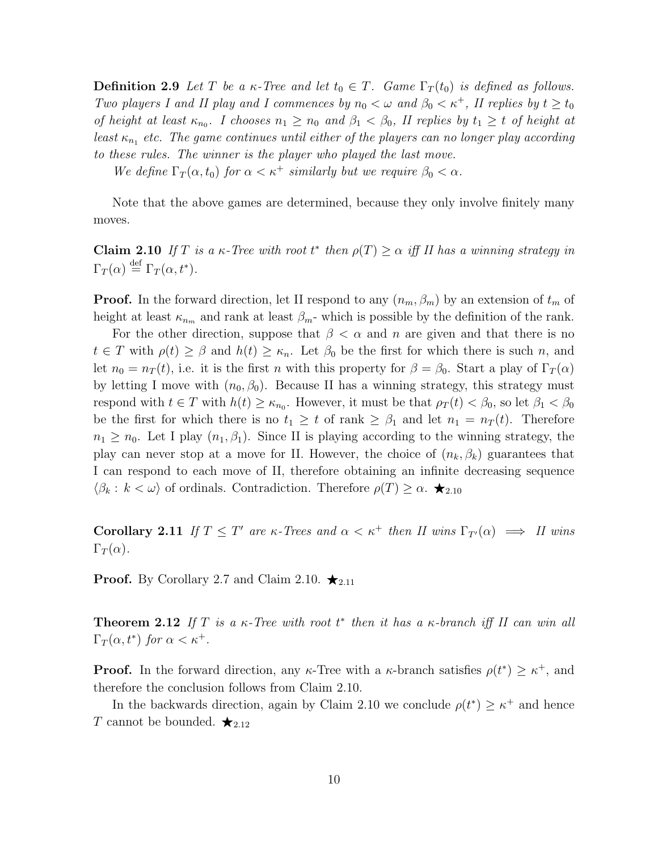**Definition 2.9** Let T be a  $\kappa$ -Tree and let  $t_0 \in T$ . Game  $\Gamma_T(t_0)$  is defined as follows. Two players I and II play and I commences by  $n_0 < \omega$  and  $\beta_0 < \kappa^+$ , II replies by  $t \geq t_0$ of height at least  $\kappa_{n_0}$ . I chooses  $n_1 \geq n_0$  and  $\beta_1 < \beta_0$ , II replies by  $t_1 \geq t$  of height at least  $\kappa_{n_1}$  etc. The game continues until either of the players can no longer play according to these rules. The winner is the player who played the last move.

We define  $\Gamma_T(\alpha, t_0)$  for  $\alpha < \kappa^+$  similarly but we require  $\beta_0 < \alpha$ .

Note that the above games are determined, because they only involve finitely many moves.

**Claim 2.10** If T is a  $\kappa$ -Tree with root  $t^*$  then  $\rho(T) \ge \alpha$  iff II has a winning strategy in  $\Gamma_T(\alpha) \stackrel{\text{def}}{=} \Gamma_T(\alpha, t^*).$ 

**Proof.** In the forward direction, let II respond to any  $(n_m, \beta_m)$  by an extension of  $t_m$  of height at least  $\kappa_{n_m}$  and rank at least  $\beta_m$ - which is possible by the definition of the rank.

For the other direction, suppose that  $\beta < \alpha$  and n are given and that there is no  $t \in T$  with  $\rho(t) \geq \beta$  and  $h(t) \geq \kappa_n$ . Let  $\beta_0$  be the first for which there is such n, and let  $n_0 = n_T(t)$ , i.e. it is the first n with this property for  $\beta = \beta_0$ . Start a play of  $\Gamma_T(\alpha)$ by letting I move with  $(n_0, \beta_0)$ . Because II has a winning strategy, this strategy must respond with  $t \in T$  with  $h(t) \geq \kappa_{n_0}$ . However, it must be that  $\rho_T(t) < \beta_0$ , so let  $\beta_1 < \beta_0$ be the first for which there is no  $t_1 \geq t$  of rank  $\geq \beta_1$  and let  $n_1 = n_T(t)$ . Therefore  $n_1 \geq n_0$ . Let I play  $(n_1, \beta_1)$ . Since II is playing according to the winning strategy, the play can never stop at a move for II. However, the choice of  $(n_k, \beta_k)$  guarantees that I can respond to each move of II, therefore obtaining an infinite decreasing sequence  $\langle \beta_k : k < \omega \rangle$  of ordinals. Contradiction. Therefore  $\rho(T) \ge \alpha$ .  $\bigstar_{2.10}$ 

**Corollary 2.11** If  $T \leq T'$  are  $\kappa$ -Trees and  $\alpha < \kappa^+$  then II wins  $\Gamma_{T'}(\alpha) \implies \Pi$  wins  $\Gamma_T(\alpha)$ .

**Proof.** By Corollary 2.7 and Claim 2.10.  $\star_{2.11}$ 

**Theorem 2.12** If T is a  $\kappa$ -Tree with root  $t^*$  then it has a  $\kappa$ -branch iff II can win all  $\Gamma_T(\alpha, t^*)$  for  $\alpha < \kappa^+$ .

**Proof.** In the forward direction, any  $\kappa$ -Tree with a  $\kappa$ -branch satisfies  $\rho(t^*) \geq \kappa^+$ , and therefore the conclusion follows from Claim 2.10.

In the backwards direction, again by Claim 2.10 we conclude  $\rho(t^*) \geq \kappa^+$  and hence T cannot be bounded.  $\bigstar_{2.12}$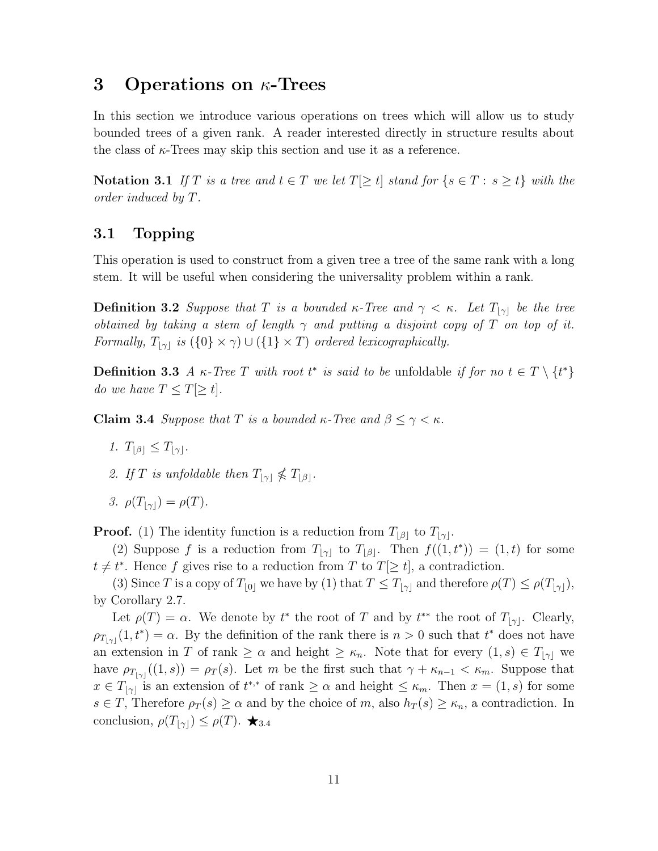### 3 Operations on  $\kappa$ -Trees

In this section we introduce various operations on trees which will allow us to study bounded trees of a given rank. A reader interested directly in structure results about the class of  $\kappa$ -Trees may skip this section and use it as a reference.

Notation 3.1 If T is a tree and  $t \in T$  we let  $T[\geq t]$  stand for  $\{s \in T : s \geq t\}$  with the order induced by T.

#### 3.1 Topping

This operation is used to construct from a given tree a tree of the same rank with a long stem. It will be useful when considering the universality problem within a rank.

**Definition 3.2** Suppose that T is a bounded  $\kappa$ -Tree and  $\gamma < \kappa$ . Let  $T_{|\gamma|}$  be the tree obtained by taking a stem of length  $\gamma$  and putting a disjoint copy of T on top of it. Formally,  $T_{[\gamma]}$  is  $({0} \times \gamma) \cup ({1} \times T)$  ordered lexicographically.

**Definition 3.3** A  $\kappa$ -Tree T with root  $t^*$  is said to be unfoldable if for no  $t \in T \setminus \{t^*\}$ do we have  $T \leq T[\geq t]$ .

**Claim 3.4** Suppose that T is a bounded  $\kappa$ -Tree and  $\beta \leq \gamma < \kappa$ .

- 1.  $T_{\left|\beta\right|} \leq T_{\left|\gamma\right|}$ .
- 2. If T is unfoldable then  $T_{\lvert \gamma \rvert} \nleq T_{\lvert \beta \rvert}$ .
- 3.  $\rho(T_{|\gamma|}) = \rho(T)$ .

**Proof.** (1) The identity function is a reduction from  $T_{\lfloor\beta\rfloor}$  to  $T_{\lfloor\gamma\rfloor}$ .

(2) Suppose f is a reduction from  $T_{|\gamma|}$  to  $T_{|\beta|}$ . Then  $f((1, t^*)) = (1, t)$  for some  $t \neq t^*$ . Hence f gives rise to a reduction from T to  $T[\geq t]$ , a contradiction.

(3) Since T is a copy of  $T_{[0]}$  we have by (1) that  $T \leq T_{[\gamma]}$  and therefore  $\rho(T) \leq \rho(T_{[\gamma]}),$ by Corollary 2.7.

Let  $\rho(T) = \alpha$ . We denote by  $t^*$  the root of T and by  $t^{**}$  the root of  $T_{|\gamma|}$ . Clearly,  $\rho_{T_{|\gamma|}}(1,t^*) = \alpha$ . By the definition of the rank there is  $n > 0$  such that  $t^*$  does not have an extension in T of rank  $\geq \alpha$  and height  $\geq \kappa_n$ . Note that for every  $(1, s) \in T_{|\gamma|}$  we have  $\rho_{T_{|\gamma|}}((1, s)) = \rho_T(s)$ . Let m be the first such that  $\gamma + \kappa_{n-1} < \kappa_m$ . Suppose that  $x \in T_{|\gamma|}$  is an extension of  $t^{*,*}$  of rank  $\geq \alpha$  and height  $\leq \kappa_m$ . Then  $x = (1, s)$  for some  $s \in T$ , Therefore  $\rho_T(s) \geq \alpha$  and by the choice of m, also  $h_T(s) \geq \kappa_n$ , a contradiction. In conclusion,  $\rho(T_{|\gamma|}) \leq \rho(T)$ .  $\star_{3.4}$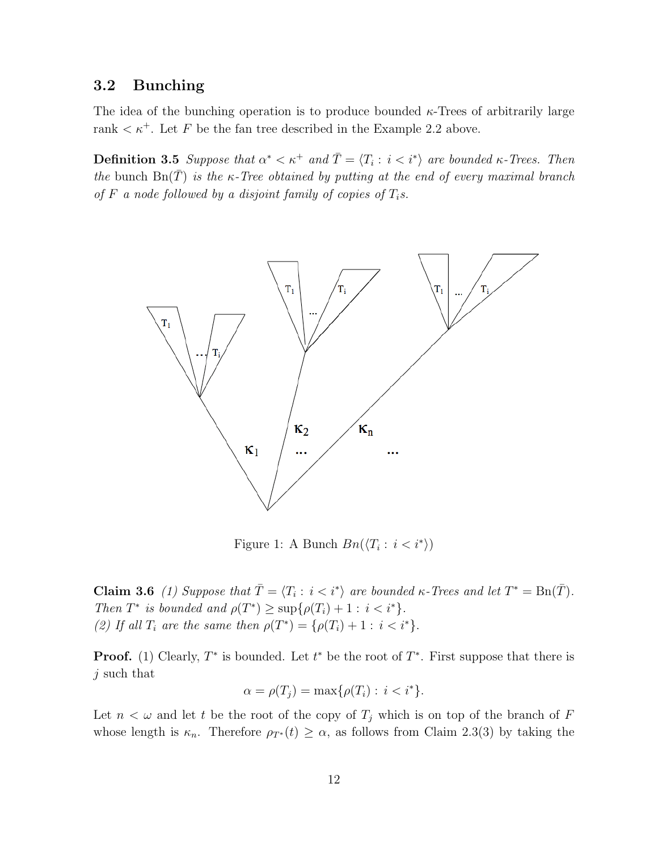#### 3.2 Bunching

The idea of the bunching operation is to produce bounded  $\kappa$ -Trees of arbitrarily large rank  $\lt \kappa^+$ . Let F be the fan tree described in the Example 2.2 above.

**Definition 3.5** Suppose that  $\alpha^* < \kappa^+$  and  $\overline{T} = \langle T_i : i < i^* \rangle$  are bounded  $\kappa$ -Trees. Then the bunch  $\text{Bn}(\bar{T})$  is the  $\kappa$ -Tree obtained by putting at the end of every maximal branch of F a node followed by a disjoint family of copies of  $T_i$ s.



Figure 1: A Bunch  $Bn(\langle T_i : i < i^* \rangle)$ 

**Claim 3.6** (1) Suppose that  $\overline{T} = \langle T_i : i \leq i^* \rangle$  are bounded  $\kappa$ -Trees and let  $T^* = \text{Bn}(\overline{T})$ . Then  $T^*$  is bounded and  $\rho(T^*) \geq \sup\{\rho(T_i) + 1 : i < i^*\}.$ (2) If all  $T_i$  are the same then  $\rho(T^*) = {\rho(T_i) + 1 : i < i^*}.$ 

**Proof.** (1) Clearly,  $T^*$  is bounded. Let  $t^*$  be the root of  $T^*$ . First suppose that there is j such that

$$
\alpha = \rho(T_j) = \max\{\rho(T_i) : i < i^*\}.
$$

Let  $n < \omega$  and let t be the root of the copy of  $T_i$  which is on top of the branch of F whose length is  $\kappa_n$ . Therefore  $\rho_{T^*}(t) \geq \alpha$ , as follows from Claim 2.3(3) by taking the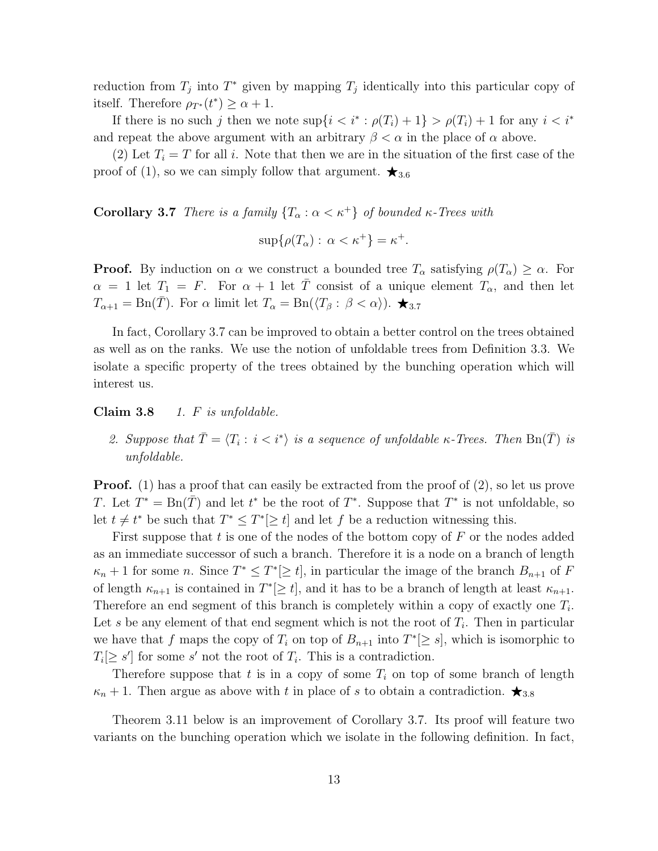reduction from  $T_j$  into  $T^*$  given by mapping  $T_j$  identically into this particular copy of itself. Therefore  $\rho_{T^*}(t^*) \geq \alpha + 1$ .

If there is no such j then we note  $\sup\{i \leq i^* : \rho(T_i) + 1\} > \rho(T_i) + 1$  for any  $i \leq i^*$ and repeat the above argument with an arbitrary  $\beta < \alpha$  in the place of  $\alpha$  above.

(2) Let  $T_i = T$  for all i. Note that then we are in the situation of the first case of the proof of (1), so we can simply follow that argument.  $\star_{3.6}$ 

Corollary 3.7 There is a family  $\{T_{\alpha} : \alpha < \kappa^{+}\}\$  of bounded  $\kappa$ -Trees with

$$
\sup\{\rho(T_{\alpha}): \alpha < \kappa^+\} = \kappa^+.
$$

**Proof.** By induction on  $\alpha$  we construct a bounded tree  $T_{\alpha}$  satisfying  $\rho(T_{\alpha}) \geq \alpha$ . For  $\alpha = 1$  let  $T_1 = F$ . For  $\alpha + 1$  let  $\overline{T}$  consist of a unique element  $T_\alpha$ , and then let  $T_{\alpha+1} = \text{Bn}(\overline{T})$ . For  $\alpha$  limit let  $T_{\alpha} = \text{Bn}(\langle T_{\beta} : \beta < \alpha \rangle)$ .  $\bigstar_{3.7}$ 

In fact, Corollary 3.7 can be improved to obtain a better control on the trees obtained as well as on the ranks. We use the notion of unfoldable trees from Definition 3.3. We isolate a specific property of the trees obtained by the bunching operation which will interest us.

Claim  $3.8$  1. F is unfoldable.

2. Suppose that  $\overline{T} = \langle T_i : i \langle i^* \rangle$  is a sequence of unfoldable  $\kappa$ -Trees. Then  $\text{Bn}(\overline{T})$  is unfoldable.

Proof. (1) has a proof that can easily be extracted from the proof of (2), so let us prove T. Let  $T^* = \text{Bn}(\bar{T})$  and let  $t^*$  be the root of  $T^*$ . Suppose that  $T^*$  is not unfoldable, so let  $t \neq t^*$  be such that  $T^* \leq T^* \geq t$  and let f be a reduction witnessing this.

First suppose that  $t$  is one of the nodes of the bottom copy of  $F$  or the nodes added as an immediate successor of such a branch. Therefore it is a node on a branch of length  $\kappa_n+1$  for some n. Since  $T^*\leq T^*[\geq t]$ , in particular the image of the branch  $B_{n+1}$  of F of length  $\kappa_{n+1}$  is contained in  $T^*[\geq t]$ , and it has to be a branch of length at least  $\kappa_{n+1}$ . Therefore an end segment of this branch is completely within a copy of exactly one  $T_i$ . Let s be any element of that end segment which is not the root of  $T_i$ . Then in particular we have that f maps the copy of  $T_i$  on top of  $B_{n+1}$  into  $T^*[\geq s]$ , which is isomorphic to  $T_i[\geq s']$  for some s' not the root of  $T_i$ . This is a contradiction.

Therefore suppose that t is in a copy of some  $T_i$  on top of some branch of length  $\kappa_n + 1$ . Then argue as above with t in place of s to obtain a contradiction.  $\star_{3.8}$ 

Theorem 3.11 below is an improvement of Corollary 3.7. Its proof will feature two variants on the bunching operation which we isolate in the following definition. In fact,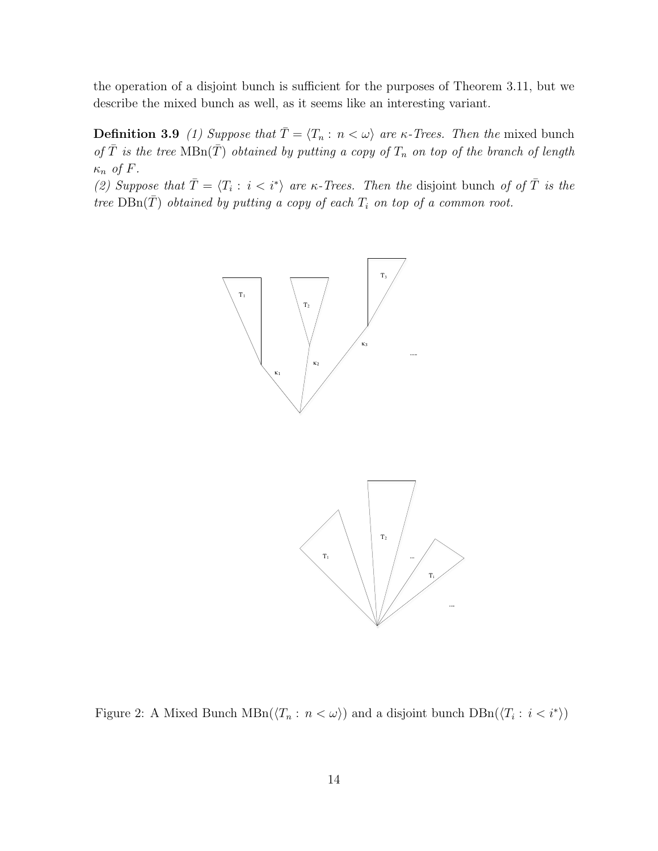the operation of a disjoint bunch is sufficient for the purposes of Theorem 3.11, but we describe the mixed bunch as well, as it seems like an interesting variant.

**Definition 3.9** (1) Suppose that  $\overline{T} = \langle T_n : n < \omega \rangle$  are  $\kappa$ -Trees. Then the mixed bunch of  $\overline{T}$  is the tree  $MBn(\overline{T})$  obtained by putting a copy of  $T_n$  on top of the branch of length  $\kappa_n$  of F.

(2) Suppose that  $\overline{T} = \langle T_i : i < i^* \rangle$  are  $\kappa$ -Trees. Then the disjoint bunch of of  $\overline{T}$  is the tree  $DBn(\overline{T})$  obtained by putting a copy of each  $T_i$  on top of a common root.



Figure 2: A Mixed Bunch  $MBn(\langle T_n : n < \omega \rangle)$  and a disjoint bunch  $DBn(\langle T_i : i < i^* \rangle)$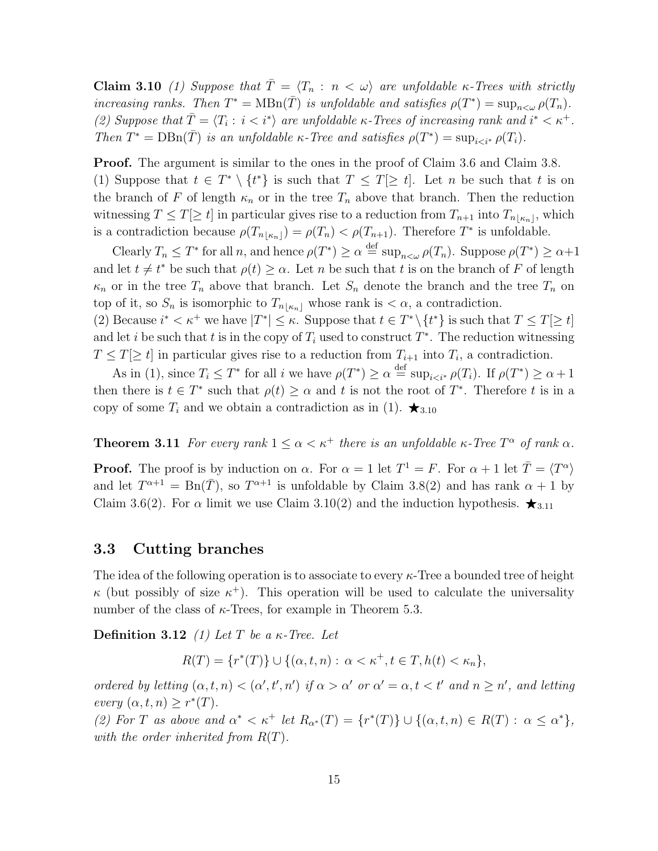Claim 3.10 (1) Suppose that  $\overline{T} = \langle T_n : n \langle \omega \rangle$  are unfoldable  $\kappa$ -Trees with strictly increasing ranks. Then  $T^* = \text{MBn}(\overline{T})$  is unfoldable and satisfies  $\rho(T^*) = \sup_{n \leq \omega} \rho(T_n)$ . (2) Suppose that  $\overline{T} = \langle T_i : i < i^* \rangle$  are unfoldable  $\kappa$ -Trees of increasing rank and  $i^* < \kappa^+$ . Then  $T^* = \text{DBn}(\overline{T})$  is an unfoldable  $\kappa$ -Tree and satisfies  $\rho(T^*) = \sup_{i \leq i^*} \rho(T_i)$ .

Proof. The argument is similar to the ones in the proof of Claim 3.6 and Claim 3.8. (1) Suppose that  $t \in T^* \setminus \{t^*\}$  is such that  $T \leq T[\geq t]$ . Let n be such that t is on the branch of F of length  $\kappa_n$  or in the tree  $T_n$  above that branch. Then the reduction witnessing  $T \leq T[\geq t]$  in particular gives rise to a reduction from  $T_{n+1}$  into  $T_{n[\kappa_n]}$ , which is a contradiction because  $\rho(T_{n\lfloor \kappa_n\rfloor}) = \rho(T_n) < \rho(T_{n+1})$ . Therefore  $T^*$  is unfoldable.

Clearly  $T_n \leq T^*$  for all n, and hence  $\rho(T^*) \geq \alpha \stackrel{\text{def}}{=} \sup_{n \leq \omega} \rho(T_n)$ . Suppose  $\rho(T^*) \geq \alpha+1$ and let  $t \neq t^*$  be such that  $\rho(t) \geq \alpha$ . Let n be such that t is on the branch of F of length  $\kappa_n$  or in the tree  $T_n$  above that branch. Let  $S_n$  denote the branch and the tree  $T_n$  on top of it, so  $S_n$  is isomorphic to  $T_{n\lfloor \kappa n\rfloor}$  whose rank is  $\langle \alpha, \alpha \rangle$  contradiction.

(2) Because  $i^* < \kappa^+$  we have  $|T^*| \leq \kappa$ . Suppose that  $t \in T^* \setminus \{t^*\}$  is such that  $T \leq T[\geq t]$ and let i be such that t is in the copy of  $T_i$  used to construct  $T^*$ . The reduction witnessing  $T \leq T[\geq t]$  in particular gives rise to a reduction from  $T_{i+1}$  into  $T_i$ , a contradiction.

As in (1), since  $T_i \leq T^*$  for all i we have  $\rho(T^*) \geq \alpha \stackrel{\text{def}}{=} \sup_{i \leq i^*} \rho(T_i)$ . If  $\rho(T^*) \geq \alpha + 1$ then there is  $t \in T^*$  such that  $\rho(t) \geq \alpha$  and t is not the root of  $T^*$ . Therefore t is in a copy of some  $T_i$  and we obtain a contradiction as in (1).  $\star_{3.10}$ 

**Theorem 3.11** For every rank  $1 \leq \alpha < \kappa^+$  there is an unfoldable  $\kappa$ -Tree  $T^{\alpha}$  of rank  $\alpha$ .

**Proof.** The proof is by induction on  $\alpha$ . For  $\alpha = 1$  let  $T^1 = F$ . For  $\alpha + 1$  let  $\overline{T} = \langle T^{\alpha} \rangle$ and let  $T^{\alpha+1} = \text{Bn}(\overline{T})$ , so  $T^{\alpha+1}$  is unfoldable by Claim 3.8(2) and has rank  $\alpha + 1$  by Claim 3.6(2). For  $\alpha$  limit we use Claim 3.10(2) and the induction hypothesis.  $\star_{3.11}$ 

#### 3.3 Cutting branches

The idea of the following operation is to associate to every  $\kappa$ -Tree a bounded tree of height  $\kappa$  (but possibly of size  $\kappa^+$ ). This operation will be used to calculate the universality number of the class of  $\kappa$ -Trees, for example in Theorem 5.3.

**Definition 3.12** (1) Let T be a  $\kappa$ -Tree. Let

$$
R(T) = \{r^*(T)\} \cup \{(\alpha, t, n) : \alpha < \kappa^+, t \in T, h(t) < \kappa_n\},\
$$

ordered by letting  $(\alpha, t, n) < (\alpha', t', n')$  if  $\alpha > \alpha'$  or  $\alpha' = \alpha, t < t'$  and  $n \geq n'$ , and letting every  $(\alpha, t, n) \geq r^*(T)$ .

(2) For T as above and  $\alpha^* < \kappa^+$  let  $R_{\alpha^*}(T) = \{r^*(T)\} \cup \{(\alpha, t, n) \in R(T) : \alpha \leq \alpha^*\},\$ with the order inherited from  $R(T)$ .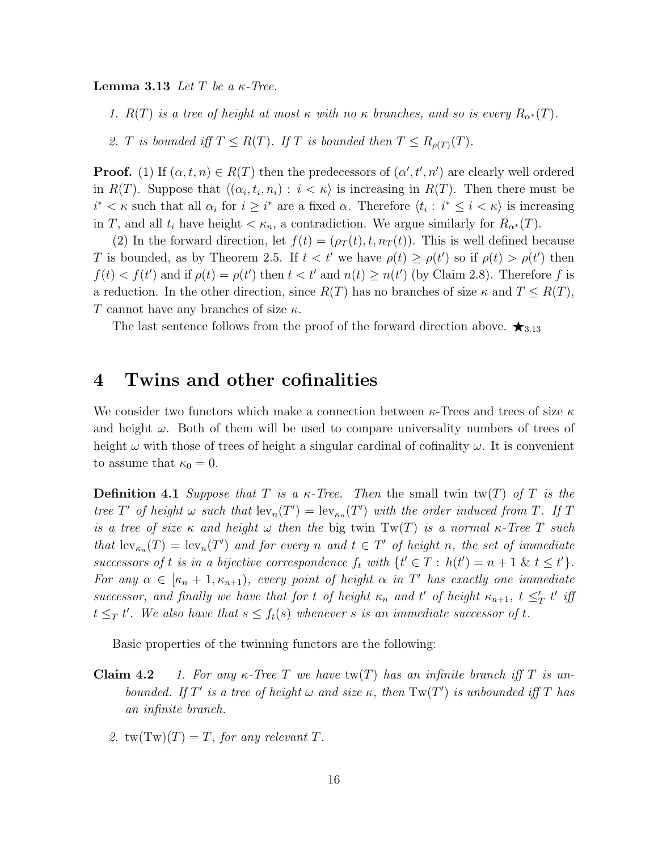**Lemma 3.13** Let T be a  $\kappa$ -Tree.

1.  $R(T)$  is a tree of height at most  $\kappa$  with no  $\kappa$  branches, and so is every  $R_{\alpha^*}(T)$ .

2. T is bounded iff  $T \leq R(T)$ . If T is bounded then  $T \leq R_{\rho(T)}(T)$ .

**Proof.** (1) If  $(\alpha, t, n) \in R(T)$  then the predecessors of  $(\alpha', t', n')$  are clearly well ordered in  $R(T)$ . Suppose that  $\langle (\alpha_i, t_i, n_i) : i < \kappa \rangle$  is increasing in  $R(T)$ . Then there must be  $i^* < \kappa$  such that all  $\alpha_i$  for  $i \geq i^*$  are a fixed  $\alpha$ . Therefore  $\langle t_i : i^* \leq i < \kappa \rangle$  is increasing in T, and all  $t_i$  have height  $\lt \kappa_n$ , a contradiction. We argue similarly for  $R_{\alpha^*}(T)$ .

(2) In the forward direction, let  $f(t) = (\rho_T(t), t, n_T(t))$ . This is well defined because T is bounded, as by Theorem 2.5. If  $t < t'$  we have  $\rho(t) \geq \rho(t')$  so if  $\rho(t) > \rho(t')$  then  $f(t) < f(t')$  and if  $\rho(t) = \rho(t')$  then  $t < t'$  and  $n(t) \geq n(t')$  (by Claim 2.8). Therefore f is a reduction. In the other direction, since  $R(T)$  has no branches of size  $\kappa$  and  $T \leq R(T)$ , T cannot have any branches of size  $\kappa$ .

The last sentence follows from the proof of the forward direction above.  $\star_{3.13}$ 

### 4 Twins and other cofinalities

We consider two functors which make a connection between  $\kappa$ -Trees and trees of size  $\kappa$ and height  $\omega$ . Both of them will be used to compare universality numbers of trees of height  $\omega$  with those of trees of height a singular cardinal of cofinality  $\omega$ . It is convenient to assume that  $\kappa_0 = 0$ .

**Definition 4.1** Suppose that T is a  $\kappa$ -Tree. Then the small twin tw(T) of T is the tree T' of height  $\omega$  such that  $\text{lev}_n(T') = \text{lev}_{\kappa_n}(T')$  with the order induced from T. If T is a tree of size  $\kappa$  and height  $\omega$  then the big twin Tw(T) is a normal  $\kappa$ -Tree T such that  $\text{lev}_{\kappa_n}(T) = \text{lev}_n(T')$  and for every n and  $t \in T'$  of height n, the set of immediate successors of t is in a bijective correspondence  $f_t$  with  $\{t' \in T : h(t') = n + 1 \& t \leq t'\}.$ For any  $\alpha \in [\kappa_n+1,\kappa_{n+1}),$  every point of height  $\alpha$  in T' has exactly one immediate successor, and finally we have that for t of height  $\kappa_n$  and t' of height  $\kappa_{n+1}$ ,  $t \leq_T' t'$  iff  $t \leq_T t'$ . We also have that  $s \leq f_t(s)$  whenever s is an immediate successor of t.

Basic properties of the twinning functors are the following:

- **Claim 4.2** 1. For any  $\kappa$ -Tree T we have tw(T) has an infinite branch iff T is unbounded. If T' is a tree of height  $\omega$  and size  $\kappa$ , then  $Tw(T')$  is unbounded iff T has an infinite branch.
	- 2.  $tw(Tw)(T) = T$ , for any relevant T.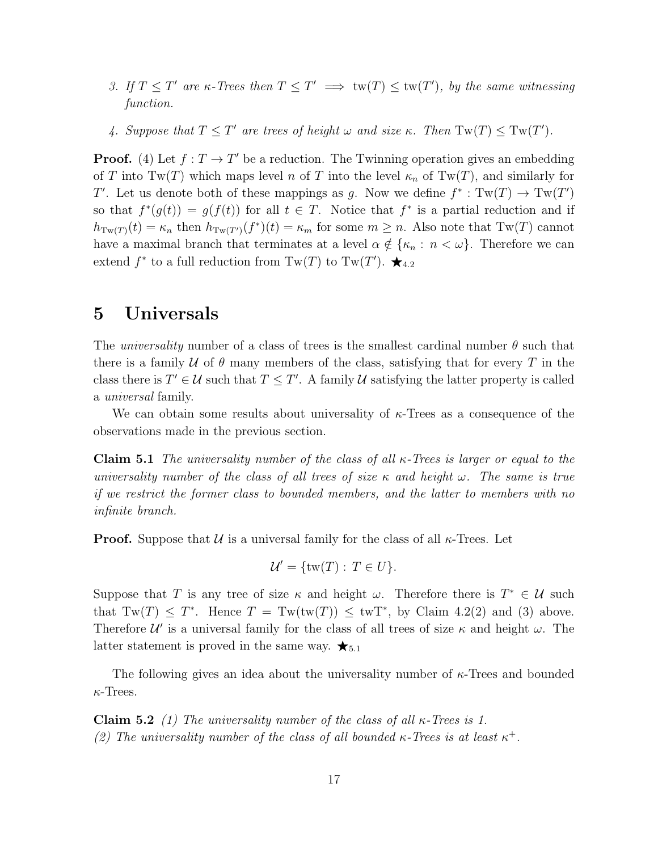- 3. If  $T \leq T'$  are  $\kappa$ -Trees then  $T \leq T' \implies \text{tw}(T) \leq \text{tw}(T')$ , by the same witnessing function.
- 4. Suppose that  $T \leq T'$  are trees of height  $\omega$  and size  $\kappa$ . Then  $Tw(T) \leq Tw(T')$ .

**Proof.** (4) Let  $f: T \to T'$  be a reduction. The Twinning operation gives an embedding of T into Tw(T) which maps level n of T into the level  $\kappa_n$  of Tw(T), and similarly for T'. Let us denote both of these mappings as g. Now we define  $f^* : Tw(T) \to Tw(T')$ so that  $f^*(g(t)) = g(f(t))$  for all  $t \in T$ . Notice that  $f^*$  is a partial reduction and if  $h_{Tw(T)}(t) = \kappa_n$  then  $h_{Tw(T')}(f^*)(t) = \kappa_m$  for some  $m \geq n$ . Also note that  $Tw(T)$  cannot have a maximal branch that terminates at a level  $\alpha \notin {\kappa_n : n < \omega}$ . Therefore we can extend  $f^*$  to a full reduction from  $Tw(T)$  to  $Tw(T')$ .  $\bigstar_{4.2}$ 

### 5 Universals

The universality number of a class of trees is the smallest cardinal number  $\theta$  such that there is a family U of  $\theta$  many members of the class, satisfying that for every T in the class there is  $T' \in \mathcal{U}$  such that  $T \leq T'$ . A family  $\mathcal{U}$  satisfying the latter property is called a universal family.

We can obtain some results about universality of  $\kappa$ -Trees as a consequence of the observations made in the previous section.

**Claim 5.1** The universality number of the class of all  $\kappa$ -Trees is larger or equal to the universality number of the class of all trees of size  $\kappa$  and height  $\omega$ . The same is true if we restrict the former class to bounded members, and the latter to members with no infinite branch.

**Proof.** Suppose that  $U$  is a universal family for the class of all  $\kappa$ -Trees. Let

$$
\mathcal{U}' = \{\text{tw}(T) : T \in U\}.
$$

Suppose that T is any tree of size  $\kappa$  and height  $\omega$ . Therefore there is  $T^* \in \mathcal{U}$  such that  $Tw(T) \leq T^*$ . Hence  $T = Tw(tw(T)) \leq twT^*$ , by Claim 4.2(2) and (3) above. Therefore  $\mathcal{U}'$  is a universal family for the class of all trees of size  $\kappa$  and height  $\omega$ . The latter statement is proved in the same way.  $\star_{5.1}$ 

The following gives an idea about the universality number of  $\kappa$ -Trees and bounded  $\kappa$ -Trees.

Claim 5.2 (1) The universality number of the class of all  $\kappa$ -Trees is 1. (2) The universality number of the class of all bounded  $\kappa$ -Trees is at least  $\kappa^+$ .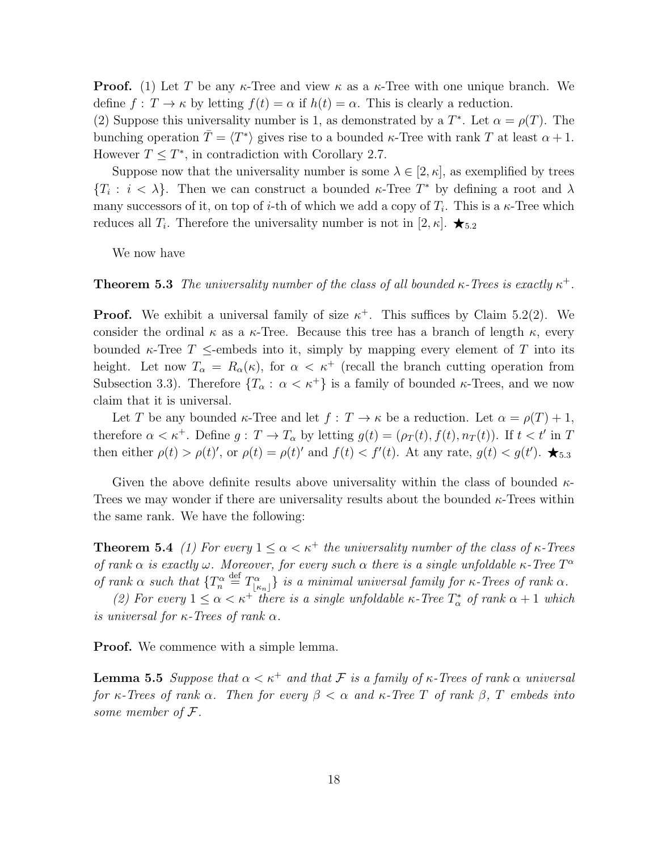**Proof.** (1) Let T be any  $\kappa$ -Tree and view  $\kappa$  as a  $\kappa$ -Tree with one unique branch. We define  $f: T \to \kappa$  by letting  $f(t) = \alpha$  if  $h(t) = \alpha$ . This is clearly a reduction.

(2) Suppose this universality number is 1, as demonstrated by a  $T^*$ . Let  $\alpha = \rho(T)$ . The bunching operation  $\overline{T} = \langle T^* \rangle$  gives rise to a bounded  $\kappa$ -Tree with rank T at least  $\alpha + 1$ . However  $T \leq T^*$ , in contradiction with Corollary 2.7.

Suppose now that the universality number is some  $\lambda \in [2, \kappa]$ , as exemplified by trees  ${T_i : i < \lambda}$ . Then we can construct a bounded  $\kappa$ -Tree  $T^*$  by defining a root and  $\lambda$ many successors of it, on top of *i*-th of which we add a copy of  $T_i$ . This is a  $\kappa$ -Tree which reduces all  $T_i$ . Therefore the universality number is not in [2,  $\kappa$ ].  $\star$ <sub>5.2</sub>

We now have

**Theorem 5.3** The universality number of the class of all bounded  $\kappa$ -Trees is exactly  $\kappa^+$ .

**Proof.** We exhibit a universal family of size  $\kappa^+$ . This suffices by Claim 5.2(2). We consider the ordinal  $\kappa$  as a  $\kappa$ -Tree. Because this tree has a branch of length  $\kappa$ , every bounded  $\kappa$ -Tree T  $\leq$ -embeds into it, simply by mapping every element of T into its height. Let now  $T_{\alpha} = R_{\alpha}(\kappa)$ , for  $\alpha < \kappa^+$  (recall the branch cutting operation from Subsection 3.3). Therefore  $\{T_\alpha : \alpha < \kappa^+\}$  is a family of bounded  $\kappa$ -Trees, and we now claim that it is universal.

Let T be any bounded  $\kappa$ -Tree and let  $f: T \to \kappa$  be a reduction. Let  $\alpha = \rho(T) + 1$ , therefore  $\alpha < \kappa^+$ . Define  $g: T \to T_\alpha$  by letting  $g(t) = (\rho_T(t), f(t), n_T(t))$ . If  $t < t'$  in T then either  $\rho(t) > \rho(t)$ ', or  $\rho(t) = \rho(t)$ ' and  $f(t) < f'(t)$ . At any rate,  $g(t) < g(t')$ .  $\bigstar_{5.3}$ 

Given the above definite results above universality within the class of bounded  $\kappa$ -Trees we may wonder if there are universality results about the bounded  $\kappa$ -Trees within the same rank. We have the following:

**Theorem 5.4** (1) For every  $1 \leq \alpha < \kappa^+$  the universality number of the class of  $\kappa$ -Trees of rank  $\alpha$  is exactly  $\omega$ . Moreover, for every such  $\alpha$  there is a single unfoldable  $\kappa$ -Tree  $T^{\alpha}$ of rank  $\alpha$  such that  $\{T_n^{\alpha} \stackrel{\text{def}}{=} T_{\lfloor \kappa_n \rfloor}^{\alpha} \}$  is a minimal universal family for  $\kappa$ -Trees of rank  $\alpha$ .

(2) For every  $1 \leq \alpha < \kappa^+$  there is a single unfoldable  $\kappa$ -Tree  $T^*_{\alpha}$  of rank  $\alpha + 1$  which is universal for  $\kappa$ -Trees of rank  $\alpha$ .

**Proof.** We commence with a simple lemma.

**Lemma 5.5** Suppose that  $\alpha < \kappa^+$  and that F is a family of  $\kappa$ -Trees of rank  $\alpha$  universal for κ-Trees of rank  $\alpha$ . Then for every  $\beta < \alpha$  and κ-Tree T of rank  $\beta$ , T embeds into some member of F.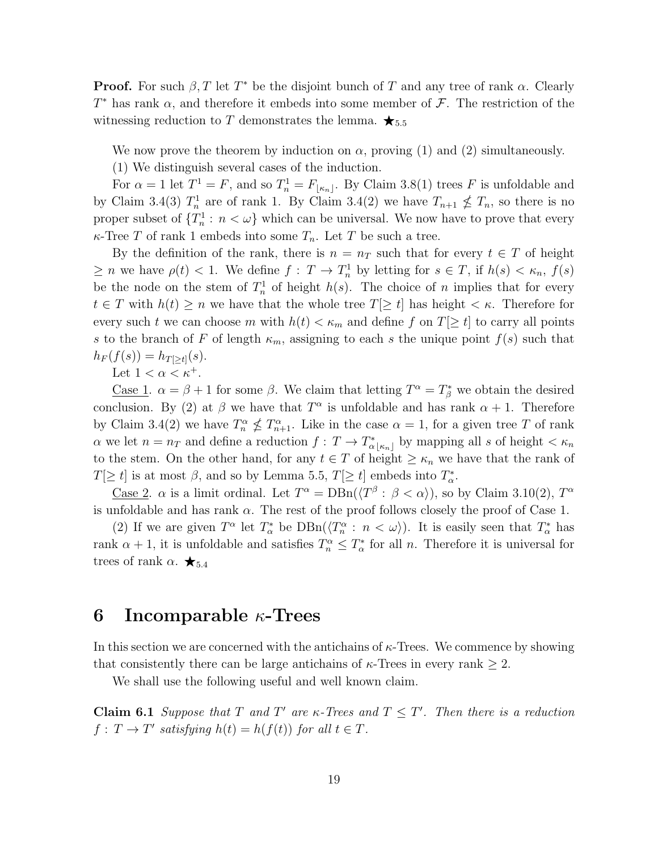**Proof.** For such  $\beta$ , T let T<sup>\*</sup> be the disjoint bunch of T and any tree of rank  $\alpha$ . Clearly  $T^*$  has rank  $\alpha$ , and therefore it embeds into some member of  $\mathcal F$ . The restriction of the witnessing reduction to T demonstrates the lemma.  $\star_{5.5}$ 

We now prove the theorem by induction on  $\alpha$ , proving (1) and (2) simultaneously.

(1) We distinguish several cases of the induction.

For  $\alpha = 1$  let  $T^1 = F$ , and so  $T_n^1 = F_{\lfloor \kappa_n \rfloor}$ . By Claim 3.8(1) trees F is unfoldable and by Claim 3.4(3)  $T_n^1$  are of rank 1. By Claim 3.4(2) we have  $T_{n+1} \nleq T_n$ , so there is no proper subset of  $\{T_n^1 : n < \omega\}$  which can be universal. We now have to prove that every  $\kappa$ -Tree T of rank 1 embeds into some  $T_n$ . Let T be such a tree.

By the definition of the rank, there is  $n = n_T$  such that for every  $t \in T$  of height  $\geq n$  we have  $\rho(t) < 1$ . We define  $f: T \to T_n^1$  by letting for  $s \in T$ , if  $h(s) < \kappa_n$ ,  $f(s)$ be the node on the stem of  $T_n^1$  of height  $h(s)$ . The choice of n implies that for every  $t \in T$  with  $h(t) \geq n$  we have that the whole tree  $T[\geq t]$  has height  $\lt \kappa$ . Therefore for every such t we can choose m with  $h(t) < \kappa_m$  and define f on  $T[\geq t]$  to carry all points s to the branch of F of length  $\kappa_m$ , assigning to each s the unique point  $f(s)$  such that  $h_F(f(s)) = h_{T[>t]}(s).$ 

Let  $1 < \alpha < \kappa^+$ .

<u>Case 1</u>.  $\alpha = \beta + 1$  for some  $\beta$ . We claim that letting  $T^{\alpha} = T^*_{\beta}$  we obtain the desired conclusion. By (2) at  $\beta$  we have that  $T^{\alpha}$  is unfoldable and has rank  $\alpha + 1$ . Therefore by Claim 3.4(2) we have  $T_n^{\alpha} \nleq T_{n+1}^{\alpha}$ . Like in the case  $\alpha = 1$ , for a given tree T of rank  $\alpha$  we let  $n = n_T$  and define a reduction  $f: T \to T^*_{\alpha \lfloor \kappa_n \rfloor}$  by mapping all s of height  $\lt \kappa_n$ to the stem. On the other hand, for any  $t \in T$  of height  $\geq \kappa_n$  we have that the rank of  $T[\geq t]$  is at most  $\beta$ , and so by Lemma 5.5,  $T[\geq t]$  embeds into  $T^*_{\alpha}$ .

<u>Case 2</u>.  $\alpha$  is a limit ordinal. Let  $T^{\alpha} = DBn(\langle T^{\beta} : \beta < \alpha \rangle)$ , so by Claim 3.10(2),  $T^{\alpha}$ is unfoldable and has rank  $\alpha$ . The rest of the proof follows closely the proof of Case 1.

(2) If we are given  $T^{\alpha}$  let  $T^*_{\alpha}$  be  $DBn(\langle T^{\alpha} \, : \, n \langle \omega \rangle)$ . It is easily seen that  $T^*_{\alpha}$  has rank  $\alpha + 1$ , it is unfoldable and satisfies  $T_n^{\alpha} \leq T_{\alpha}^*$  for all n. Therefore it is universal for trees of rank  $\alpha$ .  $\bigstar_{5.4}$ 

### 6 Incomparable  $\kappa$ -Trees

In this section we are concerned with the antichains of  $\kappa$ -Trees. We commence by showing that consistently there can be large antichains of  $\kappa$ -Trees in every rank  $\geq 2$ .

We shall use the following useful and well known claim.

**Claim 6.1** Suppose that T and T' are  $\kappa$ -Trees and  $T \leq T'$ . Then there is a reduction  $f: T \to T'$  satisfying  $h(t) = h(f(t))$  for all  $t \in T$ .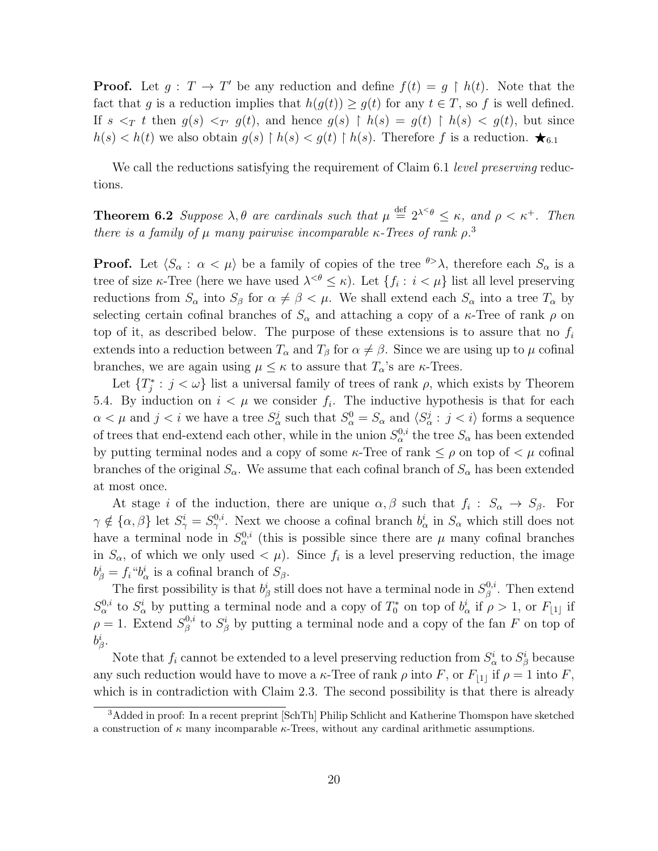**Proof.** Let  $g: T \to T'$  be any reduction and define  $f(t) = g \restriction h(t)$ . Note that the fact that g is a reduction implies that  $h(g(t)) \ge g(t)$  for any  $t \in T$ , so f is well defined. If  $s \leq_T t$  then  $g(s) \leq_{T'} g(t)$ , and hence  $g(s) \upharpoonright h(s) = g(t) \upharpoonright h(s) \leq g(t)$ , but since  $h(s) < h(t)$  we also obtain  $g(s) \restriction h(s) < g(t) \restriction h(s)$ . Therefore f is a reduction.  $\bigstar_{6.1}$ 

We call the reductions satisfying the requirement of Claim 6.1 *level preserving* reductions.

**Theorem 6.2** Suppose  $\lambda, \theta$  are cardinals such that  $\mu \stackrel{\text{def}}{=} 2^{\lambda \leq \theta} \leq \kappa$ , and  $\rho < \kappa^+$ . Then there is a family of  $\mu$  many pairwise incomparable  $\kappa$ -Trees of rank  $\rho$ <sup>3</sup>

**Proof.** Let  $\langle S_\alpha : \alpha < \mu \rangle$  be a family of copies of the tree  $\theta > \lambda$ , therefore each  $S_\alpha$  is a tree of size  $\kappa$ -Tree (here we have used  $\lambda^{<\theta} \leq \kappa$ ). Let  $\{f_i : i < \mu\}$  list all level preserving reductions from  $S_\alpha$  into  $S_\beta$  for  $\alpha \neq \beta < \mu$ . We shall extend each  $S_\alpha$  into a tree  $T_\alpha$  by selecting certain cofinal branches of  $S_{\alpha}$  and attaching a copy of a  $\kappa$ -Tree of rank  $\rho$  on top of it, as described below. The purpose of these extensions is to assure that no  $f_i$ extends into a reduction between  $T_{\alpha}$  and  $T_{\beta}$  for  $\alpha \neq \beta$ . Since we are using up to  $\mu$  cofinal branches, we are again using  $\mu \leq \kappa$  to assure that  $T_{\alpha}$ 's are  $\kappa$ -Trees.

Let  $\{T_j^*: j < \omega\}$  list a universal family of trees of rank  $\rho$ , which exists by Theorem 5.4. By induction on  $i < \mu$  we consider  $f_i$ . The inductive hypothesis is that for each  $\alpha < \mu$  and  $j < i$  we have a tree  $S^j_\alpha$  such that  $S^0_\alpha = S_\alpha$  and  $\langle S^j_\alpha : j < i \rangle$  forms a sequence of trees that end-extend each other, while in the union  $S^{0,i}_{\alpha}$  the tree  $S_{\alpha}$  has been extended by putting terminal nodes and a copy of some  $\kappa$ -Tree of rank  $\leq \rho$  on top of  $\lt \mu$  cofinal branches of the original  $S_{\alpha}$ . We assume that each cofinal branch of  $S_{\alpha}$  has been extended at most once.

At stage *i* of the induction, there are unique  $\alpha, \beta$  such that  $f_i : S_\alpha \to S_\beta$ . For  $\gamma \notin {\alpha, \beta}$  let  $S^i_{\gamma} = S^{0,i}_{\gamma}$ . Next we choose a cofinal branch  $b^i_{\alpha}$  in  $S_{\alpha}$  which still does not have a terminal node in  $S_{\alpha}^{0,i}$  (this is possible since there are  $\mu$  many cofinal branches in  $S_\alpha$ , of which we only used  $\langle \mu \rangle$ . Since  $f_i$  is a level preserving reduction, the image  $b^i_\beta = f_i$ " $b^i_\alpha$  is a cofinal branch of  $S_\beta$ .

The first possibility is that  $b^i_\beta$  still does not have a terminal node in  $S^{0,i}_\beta$  $\beta^{0,i}$ . Then extend  $S_\alpha^{0,i}$  to  $S_\alpha^i$  by putting a terminal node and a copy of  $T_0^*$  on top of  $b_\alpha^i$  if  $\rho > 1$ , or  $F_{\lfloor 1 \rfloor}$  if  $\rho = 1$ . Extend  $S^{0,i}_{\beta}$ <sup>0,*i*</sup> to  $S^i_\beta$  by putting a terminal node and a copy of the fan F on top of  $b^i_\beta.$ 

Note that  $f_i$  cannot be extended to a level preserving reduction from  $S^i_\alpha$  to  $S^i_\beta$  because any such reduction would have to move a  $\kappa$ -Tree of rank  $\rho$  into F, or  $F_{|1|}$  if  $\rho = 1$  into F, which is in contradiction with Claim 2.3. The second possibility is that there is already

<sup>&</sup>lt;sup>3</sup>Added in proof: In a recent preprint [SchTh] Philip Schlicht and Katherine Thomspon have sketched a construction of  $\kappa$  many incomparable  $\kappa$ -Trees, without any cardinal arithmetic assumptions.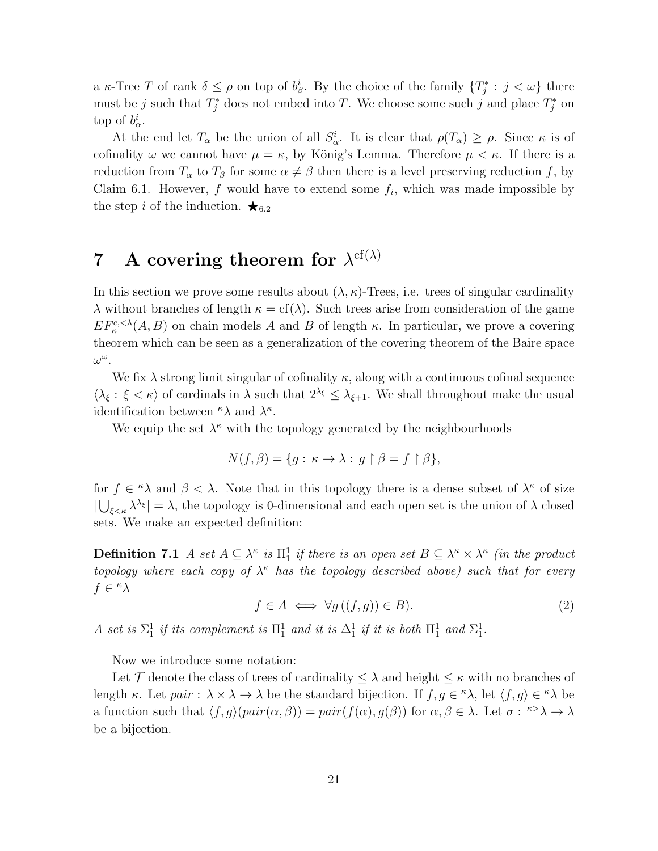a  $\kappa$ -Tree T of rank  $\delta \leq \rho$  on top of  $b^i_\beta$ . By the choice of the family  $\{T^*_j : j < \omega\}$  there must be j such that  $T_j^*$  does not embed into T. We choose some such j and place  $T_j^*$  on top of  $b^i_\alpha$ .

At the end let  $T_{\alpha}$  be the union of all  $S_{\alpha}^{i}$ . It is clear that  $\rho(T_{\alpha}) \geq \rho$ . Since  $\kappa$  is of cofinality  $\omega$  we cannot have  $\mu = \kappa$ , by König's Lemma. Therefore  $\mu < \kappa$ . If there is a reduction from  $T_{\alpha}$  to  $T_{\beta}$  for some  $\alpha \neq \beta$  then there is a level preserving reduction f, by Claim 6.1. However, f would have to extend some  $f_i$ , which was made impossible by the step i of the induction.  $\star_{6.2}$ 

## **7** A covering theorem for  $\lambda^{cf(\lambda)}$

In this section we prove some results about  $(\lambda, \kappa)$ -Trees, i.e. trees of singular cardinality λ without branches of length  $κ = cf(λ)$ . Such trees arise from consideration of the game  $EF_{\kappa}^{c,<\lambda}(A, B)$  on chain models A and B of length  $\kappa$ . In particular, we prove a covering theorem which can be seen as a generalization of the covering theorem of the Baire space  $\omega^\omega$  .

We fix  $\lambda$  strong limit singular of cofinality  $\kappa$ , along with a continuous cofinal sequence  $\langle \lambda_{\xi} : \xi < \kappa \rangle$  of cardinals in  $\lambda$  such that  $2^{\lambda_{\xi}} \leq \lambda_{\xi+1}$ . We shall throughout make the usual identification between  $\kappa \lambda$  and  $\lambda^{\kappa}$ .

We equip the set  $\lambda^{\kappa}$  with the topology generated by the neighbourhoods

$$
N(f, \beta) = \{ g : \kappa \to \lambda : g \upharpoonright \beta = f \upharpoonright \beta \},
$$

for  $f \in \Lambda$  and  $\beta < \lambda$ . Note that in this topology there is a dense subset of  $\lambda^{\kappa}$  of size  $|\bigcup_{\xi<\kappa}\lambda^{\lambda_{\xi}}|=\lambda$ , the topology is 0-dimensional and each open set is the union of  $\lambda$  closed sets. We make an expected definition:

**Definition 7.1** A set  $A \subseteq \lambda^{\kappa}$  is  $\Pi_1^1$  if there is an open set  $B \subseteq \lambda^{\kappa} \times \lambda^{\kappa}$  (in the product topology where each copy of  $\lambda^{\kappa}$  has the topology described above) such that for every  $f \in \kappa \lambda$ 

$$
f \in A \iff \forall g \left( (f, g) \right) \in B). \tag{2}
$$

A set is  $\Sigma_1^1$  if its complement is  $\Pi_1^1$  and it is  $\Delta_1^1$  if it is both  $\Pi_1^1$  and  $\Sigma_1^1$ .

Now we introduce some notation:

Let T denote the class of trees of cardinality  $\leq \lambda$  and height  $\leq \kappa$  with no branches of length κ. Let  $pair : \lambda \times \lambda \to \lambda$  be the standard bijection. If  $f, g \in \kappa \lambda$ , let  $\langle f, g \rangle \in \kappa \lambda$  be a function such that  $\langle f, g \rangle (pair(\alpha, \beta)) = pair(f(\alpha), g(\beta))$  for  $\alpha, \beta \in \lambda$ . Let  $\sigma : \beta \to \lambda \to \lambda$ be a bijection.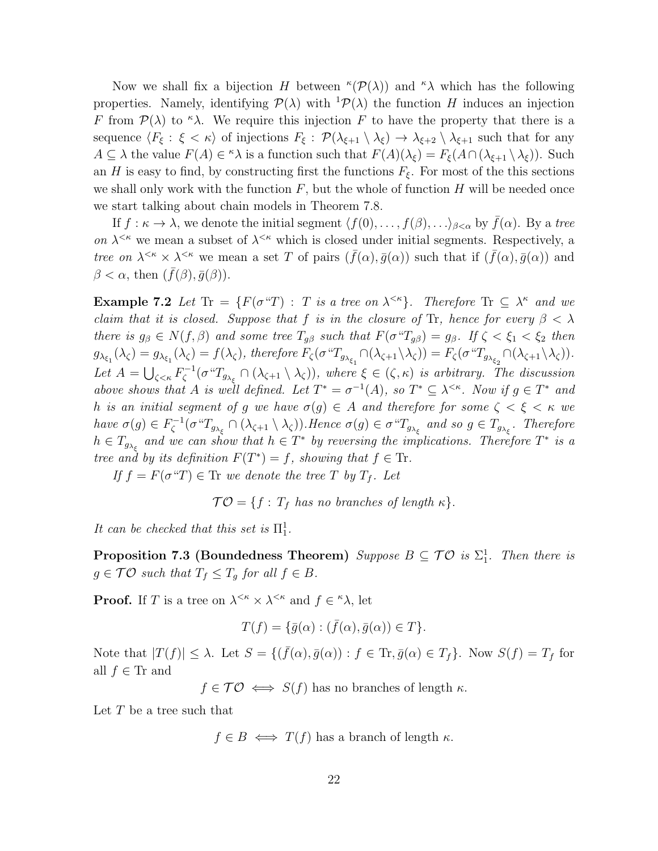Now we shall fix a bijection H between  $\kappa(\mathcal{P}(\lambda))$  and  $\kappa\lambda$  which has the following properties. Namely, identifying  $\mathcal{P}(\lambda)$  with  ${}^{1}\mathcal{P}(\lambda)$  the function H induces an injection F from  $\mathcal{P}(\lambda)$  to  $\kappa \lambda$ . We require this injection F to have the property that there is a sequence  $\langle F_{\xi} : \xi < \kappa \rangle$  of injections  $F_{\xi} : \mathcal{P}(\lambda_{\xi+1} \setminus \lambda_{\xi}) \to \lambda_{\xi+2} \setminus \lambda_{\xi+1}$  such that for any  $A \subseteq \lambda$  the value  $F(A) \in {}^{\kappa} \lambda$  is a function such that  $F(A)(\lambda_{\xi}) = F_{\xi}(A \cap (\lambda_{\xi+1} \setminus \lambda_{\xi}))$ . Such an H is easy to find, by constructing first the functions  $F_{\xi}$ . For most of the this sections we shall only work with the function  $F$ , but the whole of function  $H$  will be needed once we start talking about chain models in Theorem 7.8.

If  $f : \kappa \to \lambda$ , we denote the initial segment  $\langle f(0), \ldots, f(\beta), \ldots \rangle_{\beta < \alpha}$  by  $\bar{f}(\alpha)$ . By a tree on  $\lambda^{\leq \kappa}$  we mean a subset of  $\lambda^{\leq \kappa}$  which is closed under initial segments. Respectively, a tree on  $\lambda^{<\kappa} \times \lambda^{<\kappa}$  we mean a set T of pairs  $(\bar{f}(\alpha), \bar{g}(\alpha))$  such that if  $(\bar{f}(\alpha), \bar{g}(\alpha))$  and  $\beta < \alpha$ , then  $(\bar{f}(\beta), \bar{g}(\beta)).$ 

**Example 7.2** Let  $\text{Tr} = \{F(\sigma^T): T \text{ is a tree on } \lambda^{\leq \kappa}\}\$ . Therefore  $\text{Tr} \subseteq \lambda^{\kappa}$  and we claim that it is closed. Suppose that f is in the closure of Tr, hence for every  $\beta < \lambda$ there is  $g_{\beta} \in N(f, \beta)$  and some tree  $T_{g\beta}$  such that  $F(\sigma^{\alpha}T_{g\beta}) = g_{\beta}$ . If  $\zeta < \xi_1 < \xi_2$  then  $g_{\lambda_{\xi_1}}(\lambda_{\zeta}) = g_{\lambda_{\xi_1}}(\lambda_{\zeta}) = f(\lambda_{\zeta}),$  therefore  $F_{\zeta}(\sigma^{\alpha}T_{g_{\lambda_{\xi_1}}}\cap(\lambda_{\zeta+1}\setminus\lambda_{\zeta})) = F_{\zeta}(\sigma^{\alpha}T_{g_{\lambda_{\xi_2}}}\cap(\lambda_{\zeta+1}\setminus\lambda_{\zeta})).$ Let  $A = \bigcup_{\zeta < \kappa} F_{\zeta}^{-1}$  $\zeta^{-1}(\sigma^{\alpha}T_{g_{\lambda_{\xi}}}\cap(\lambda_{\zeta+1}\setminus\lambda_{\zeta})),$  where  $\xi\in(\zeta,\kappa)$  is arbitrary. The discussion above shows that A is well defined. Let  $T^* = \sigma^{-1}(A)$ , so  $T^* \subseteq \lambda^{\leq \kappa}$ . Now if  $g \in T^*$  and h is an initial segment of g we have  $\sigma(g) \in A$  and therefore for some  $\zeta < \xi < \kappa$  we have  $\sigma(g) \in F_{\zeta}^{-1}$  $\zeta^{-1}(\sigma^u T_{g_{\lambda_{\xi}}}\cap(\lambda_{\zeta+1}\setminus\lambda_{\zeta}))$ . Hence  $\sigma(g)\in\sigma^u T_{g_{\lambda_{\xi}}}$  and so  $g\in T_{g_{\lambda_{\xi}}}$ . Therefore  $h \in T_{g_{\lambda_{\xi}}}$  and we can show that  $h \in T^*$  by reversing the implications. Therefore  $T^*$  is a tree and by its definition  $F(T^*) = f$ , showing that  $f \in \text{Tr}$ .

If  $f = F(\sigma^T) \in \text{Tr}$  we denote the tree T by  $T_f$ . Let

 $TO = \{f : T_f \text{ has no branches of length } \kappa\}.$ 

It can be checked that this set is  $\Pi_1^1$ .

**Proposition 7.3 (Boundedness Theorem)** Suppose  $B \subseteq \mathcal{TO}$  is  $\Sigma_1^1$ . Then there is  $g \in \mathcal{TO}$  such that  $T_f \leq T_g$  for all  $f \in B$ .

**Proof.** If T is a tree on  $\lambda^{<\kappa} \times \lambda^{<\kappa}$  and  $f \in \kappa \lambda$ , let

$$
T(f) = \{\overline{g}(\alpha) : (\overline{f}(\alpha), \overline{g}(\alpha)) \in T\}.
$$

Note that  $|T(f)| \leq \lambda$ . Let  $S = \{(\bar{f}(\alpha), \bar{g}(\alpha)) : f \in \text{Tr}, \bar{g}(\alpha) \in T_f\}$ . Now  $S(f) = T_f$  for all  $f \in \text{Tr}$  and

 $f \in \mathcal{TO} \iff S(f)$  has no branches of length  $\kappa$ .

Let  $T$  be a tree such that

 $f \in B \iff T(f)$  has a branch of length  $\kappa$ .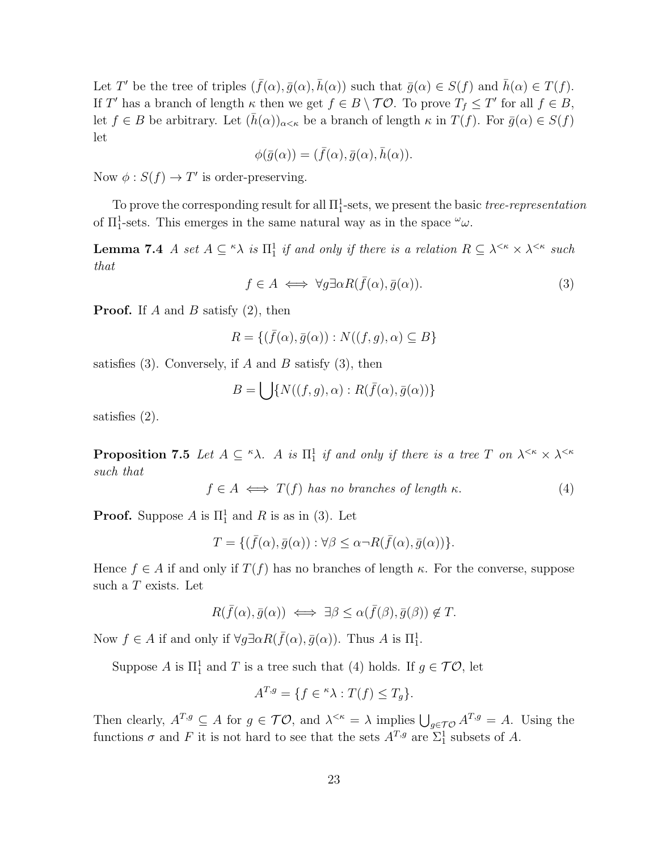Let T' be the tree of triples  $({\bar f}(\alpha),{\bar g}(\alpha),{\bar h}(\alpha))$  such that  ${\bar g}(\alpha) \in S(f)$  and  ${\bar h}(\alpha) \in T(f)$ . If T' has a branch of length  $\kappa$  then we get  $f \in B \setminus \mathcal{TO}$ . To prove  $T_f \leq T'$  for all  $f \in B$ , let  $f \in B$  be arbitrary. Let  $(\bar{h}(\alpha))_{\alpha \leq \kappa}$  be a branch of length  $\kappa$  in  $T(f)$ . For  $\bar{g}(\alpha) \in S(f)$ let

$$
\phi(\bar{g}(\alpha)) = (\bar{f}(\alpha), \bar{g}(\alpha), \bar{h}(\alpha)).
$$

Now  $\phi: S(f) \to T'$  is order-preserving.

To prove the corresponding result for all  $\Pi_1^1$ -sets, we present the basic *tree-representation* of  $\Pi_1^1$ -sets. This emerges in the same natural way as in the space  $\omega_{\omega}$ .

**Lemma 7.4** A set  $A \subseteq \kappa \lambda$  is  $\Pi_1^1$  if and only if there is a relation  $R \subseteq \lambda^{\leq \kappa} \times \lambda^{\leq \kappa}$  such that

$$
f \in A \iff \forall g \exists \alpha R(\bar{f}(\alpha), \bar{g}(\alpha)). \tag{3}
$$

**Proof.** If A and B satisfy  $(2)$ , then

$$
R = \{ (\bar{f}(\alpha), \bar{g}(\alpha)) : N((f, g), \alpha) \subseteq B \}
$$

satisfies (3). Conversely, if A and B satisfy (3), then

$$
B = \bigcup \{ N((f,g),\alpha) : R(\bar{f}(\alpha),\bar{g}(\alpha)) \}
$$

satisfies (2).

**Proposition 7.5** Let  $A \subseteq \kappa \lambda$ . A is  $\Pi_1^1$  if and only if there is a tree T on  $\lambda^{\leq \kappa} \times \lambda^{\leq \kappa}$ such that

$$
f \in A \iff T(f) \text{ has no branches of length } \kappa. \tag{4}
$$

**Proof.** Suppose A is  $\Pi_1^1$  and R is as in (3). Let

$$
T = \{ (\bar{f}(\alpha), \bar{g}(\alpha)) : \forall \beta \leq \alpha \neg R(\bar{f}(\alpha), \bar{g}(\alpha)) \}.
$$

Hence  $f \in A$  if and only if  $T(f)$  has no branches of length  $\kappa$ . For the converse, suppose such a T exists. Let

$$
R(\bar{f}(\alpha), \bar{g}(\alpha)) \iff \exists \beta \leq \alpha(\bar{f}(\beta), \bar{g}(\beta)) \notin T.
$$

Now  $f \in A$  if and only if  $\forall g \exists \alpha R(\bar{f}(\alpha), \bar{g}(\alpha))$ . Thus A is  $\Pi_1^1$ .

Suppose A is  $\Pi_1^1$  and T is a tree such that (4) holds. If  $g \in \mathcal{TO}$ , let

$$
A^{T,g} = \{ f \in \mathbb{R} \lambda : T(f) \le T_g \}.
$$

Then clearly,  $A^{T,g} \subseteq A$  for  $g \in \mathcal{TO}$ , and  $\lambda^{<\kappa} = \lambda$  implies  $\bigcup_{g \in \mathcal{TO}} A^{T,g} = A$ . Using the functions  $\sigma$  and F it is not hard to see that the sets  $A^{T,g}$  are  $\Sigma_1^1$  subsets of A.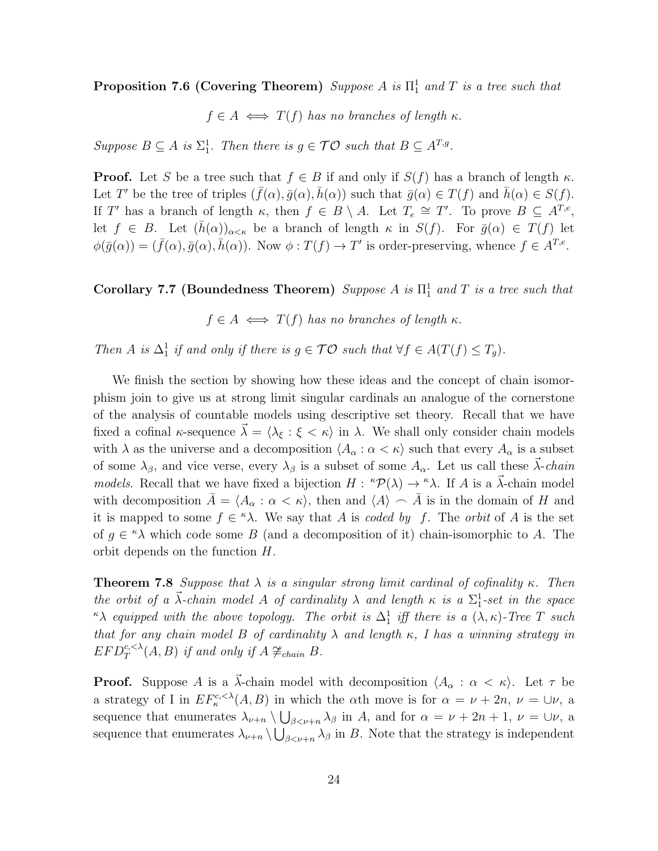**Proposition 7.6 (Covering Theorem)** Suppose A is  $\Pi_1^1$  and T is a tree such that

 $f \in A \iff T(f)$  has no branches of length  $\kappa$ .

Suppose  $B \subseteq A$  is  $\Sigma^1_1$ . Then there is  $g \in \mathcal{TO}$  such that  $B \subseteq A^{T,g}$ .

**Proof.** Let S be a tree such that  $f \in B$  if and only if  $S(f)$  has a branch of length  $\kappa$ . Let T' be the tree of triples  $({\bar f}(\alpha),{\bar g}(\alpha),{\bar h}(\alpha))$  such that  ${\bar g}(\alpha) \in T(f)$  and  ${\bar h}(\alpha) \in S(f)$ . If T' has a branch of length  $\kappa$ , then  $f \in B \setminus A$ . Let  $T_e \cong T'$ . To prove  $B \subseteq A^{T,e}$ , let  $f \in B$ . Let  $(\bar{h}(\alpha))_{\alpha<\kappa}$  be a branch of length  $\kappa$  in  $S(f)$ . For  $\bar{g}(\alpha) \in T(f)$  let  $\phi(\bar{g}(\alpha)) = (\bar{f}(\alpha), \bar{g}(\alpha), \bar{h}(\alpha))$ . Now  $\phi : T(f) \to T'$  is order-preserving, whence  $f \in A^{T,e}$ .

Corollary 7.7 (Boundedness Theorem) Suppose A is  $\Pi_1^1$  and T is a tree such that

 $f \in A \iff T(f)$  has no branches of length  $\kappa$ .

Then A is  $\Delta_1^1$  if and only if there is  $g \in \mathcal{TO}$  such that  $\forall f \in A(T(f) \leq T_g)$ .

We finish the section by showing how these ideas and the concept of chain isomorphism join to give us at strong limit singular cardinals an analogue of the cornerstone of the analysis of countable models using descriptive set theory. Recall that we have fixed a cofinal  $\kappa$ -sequence  $\vec{\lambda} = \langle \lambda_{\xi} : \xi < \kappa \rangle$  in  $\lambda$ . We shall only consider chain models with  $\lambda$  as the universe and a decomposition  $\langle A_{\alpha} : \alpha < \kappa \rangle$  such that every  $A_{\alpha}$  is a subset of some  $\lambda_{\beta}$ , and vice verse, every  $\lambda_{\beta}$  is a subset of some  $A_{\alpha}$ . Let us call these  $\vec{\lambda}$ -chain models. Recall that we have fixed a bijection  $H: {}^{\kappa}P(\lambda) \to {}^{\kappa}\lambda$ . If A is a  $\vec{\lambda}$ -chain model with decomposition  $\bar{A} = \langle A_{\alpha} : \alpha < \kappa \rangle$ , then and  $\langle A \rangle \frown \bar{A}$  is in the domain of H and it is mapped to some  $f \in \kappa \lambda$ . We say that A is coded by f. The orbit of A is the set of  $g \in \kappa \lambda$  which code some B (and a decomposition of it) chain-isomorphic to A. The orbit depends on the function H.

**Theorem 7.8** Suppose that  $\lambda$  is a singular strong limit cardinal of cofinality  $\kappa$ . Then the orbit of a  $\vec{\lambda}$ -chain model A of cardinality  $\lambda$  and length  $\kappa$  is a  $\Sigma_1^1$ -set in the space  $\kappa\lambda$  equipped with the above topology. The orbit is  $\Delta_1^1$  iff there is a  $(\lambda, \kappa)$ -Tree T such that for any chain model B of cardinality  $\lambda$  and length  $\kappa$ , I has a winning strategy in  $EFD_T^{c,<\lambda}(A, B)$  if and only if  $A \not\cong_{chain} B$ .

**Proof.** Suppose A is a  $\vec{\lambda}$ -chain model with decomposition  $\langle A_{\alpha} : \alpha \langle \kappa \rangle$ . Let  $\tau$  be a strategy of I in  $EF_{\kappa}^{c,<\lambda}(A, B)$  in which the  $\alpha$ th move is for  $\alpha = \nu + 2n$ ,  $\nu = \bigcup \nu$ , a sequence that enumerates  $\lambda_{\nu+n} \setminus \bigcup_{\beta < \nu+n} \lambda_\beta$  in A, and for  $\alpha = \nu + 2n + 1$ ,  $\nu = \bigcup \nu$ , a sequence that enumerates  $\lambda_{\nu+n} \setminus \bigcup_{\beta < \nu+n} \lambda_\beta$  in B. Note that the strategy is independent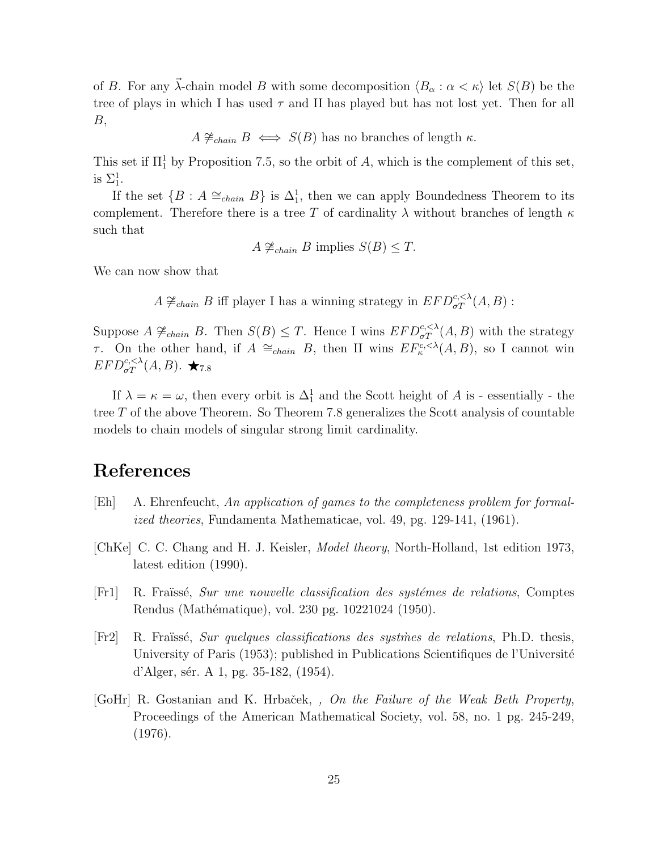of B. For any  $\vec{\lambda}$ -chain model B with some decomposition  $\langle B_{\alpha} : \alpha < \kappa \rangle$  let  $S(B)$  be the tree of plays in which I has used  $\tau$  and II has played but has not lost yet. Then for all  $B,$ 

 $A \not\cong_{chain} B \iff S(B)$  has no branches of length  $\kappa$ .

This set if  $\Pi_1^1$  by Proposition 7.5, so the orbit of A, which is the complement of this set, is  $\Sigma^1_1$ .

If the set  $\{B : A \cong_{chain} B\}$  is  $\Delta_1^1$ , then we can apply Boundedness Theorem to its complement. Therefore there is a tree T of cardinality  $\lambda$  without branches of length  $\kappa$ such that

 $A \not\cong_{chain} B$  implies  $S(B) \leq T$ .

We can now show that

A  $\neq_{chain} B$  iff player I has a winning strategy in  $EFD_{\sigma T}^{c,<\lambda}(A, B)$ :

Suppose  $A \not\cong_{chain} B$ . Then  $S(B) \leq T$ . Hence I wins  $EFD_{\sigma T}^{c,<\lambda}(A,B)$  with the strategy τ. On the other hand, if  $A \cong_{chain} B$ , then II wins  $EF^{c,<\lambda}_{\kappa}(A, B)$ , so I cannot win  $EFD_{\sigma T}^{c,<\lambda}(A,B)$ .  $\bigstar_{7.8}$ 

If  $\lambda = \kappa = \omega$ , then every orbit is  $\Delta_1^1$  and the Scott height of A is - essentially - the tree T of the above Theorem. So Theorem 7.8 generalizes the Scott analysis of countable models to chain models of singular strong limit cardinality.

### References

- [Eh] A. Ehrenfeucht, An application of games to the completeness problem for formalized theories, Fundamenta Mathematicae, vol. 49, pg. 129-141, (1961).
- [ChKe] C. C. Chang and H. J. Keisler, Model theory, North-Holland, 1st edition 1973, latest edition (1990).
- [Fr1] R. Fraüssé, Sur une nouvelle classification des systèmes de relations, Comptes Rendus (Mathématique), vol. 230 pg. 10221024 (1950).
- $[Fr2]$  R. Fraüssé, Sur quelques classifications des systmes de relations, Ph.D. thesis, University of Paris (1953); published in Publications Scientifiques de l'Université d'Alger, sér. A 1, pg. 35-182,  $(1954)$ .
- [GoHr] R. Gostanian and K. Hrbaček, , On the Failure of the Weak Beth Property, Proceedings of the American Mathematical Society, vol. 58, no. 1 pg. 245-249, (1976).